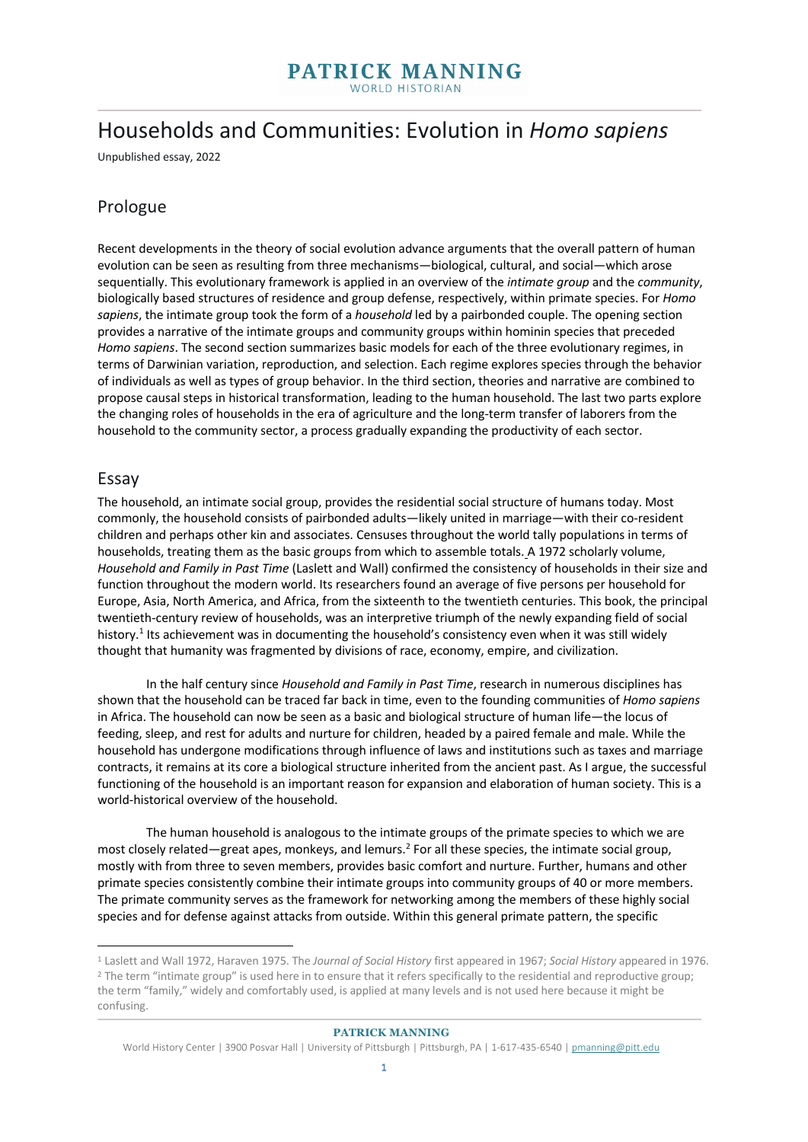# Households and Communities: Evolution in *Homo sapiens*

Unpublished essay, 2022

# Prologue

Recent developments in the theory of social evolution advance arguments that the overall pattern of human evolution can be seen as resulting from three mechanisms—biological, cultural, and social—which arose sequentially. This evolutionary framework is applied in an overview of the *intimate group* and the *community*, biologically based structures of residence and group defense, respectively, within primate species. For *Homo sapiens*, the intimate group took the form of a *household* led by a pairbonded couple. The opening section provides a narrative of the intimate groups and community groups within hominin species that preceded *Homo sapiens*. The second section summarizes basic models for each of the three evolutionary regimes, in terms of Darwinian variation, reproduction, and selection. Each regime explores species through the behavior of individuals as well as types of group behavior. In the third section, theories and narrative are combined to propose causal steps in historical transformation, leading to the human household. The last two parts explore the changing roles of households in the era of agriculture and the long-term transfer of laborers from the household to the community sector, a process gradually expanding the productivity of each sector.

## Essay

The household, an intimate social group, provides the residential social structure of humans today. Most commonly, the household consists of pairbonded adults—likely united in marriage—with their co-resident children and perhaps other kin and associates. Censuses throughout the world tally populations in terms of households, treating them as the basic groups from which to assemble totals. A 1972 scholarly volume, *Household and Family in Past Time* (Laslett and Wall) confirmed the consistency of households in their size and function throughout the modern world. Its researchers found an average of five persons per household for Europe, Asia, North America, and Africa, from the sixteenth to the twentieth centuries. This book, the principal twentieth-century review of households, was an interpretive triumph of the newly expanding field of social history.<sup>1</sup> Its achievement was in documenting the household's consistency even when it was still widely thought that humanity was fragmented by divisions of race, economy, empire, and civilization.

In the half century since *Household and Family in Past Time*, research in numerous disciplines has shown that the household can be traced far back in time, even to the founding communities of *Homo sapiens*  in Africa. The household can now be seen as a basic and biological structure of human life—the locus of feeding, sleep, and rest for adults and nurture for children, headed by a paired female and male. While the household has undergone modifications through influence of laws and institutions such as taxes and marriage contracts, it remains at its core a biological structure inherited from the ancient past. As I argue, the successful functioning of the household is an important reason for expansion and elaboration of human society. This is a world-historical overview of the household.

The human household is analogous to the intimate groups of the primate species to which we are most closely related—great apes, monkeys, and lemurs.<sup>2</sup> For all these species, the intimate social group, mostly with from three to seven members, provides basic comfort and nurture. Further, humans and other primate species consistently combine their intimate groups into community groups of 40 or more members. The primate community serves as the framework for networking among the members of these highly social species and for defense against attacks from outside. Within this general primate pattern, the specific

<sup>1</sup> Laslett and Wall 1972, Haraven 1975. The *Journal of Social History* first appeared in 1967; *Social History* appeared in 1976. <sup>2</sup> The term "intimate group" is used here in to ensure that it refers specifically to the residential and reproductive group; the term "family," widely and comfortably used, is applied at many levels and is not used here because it might be confusing.

World History Center | 3900 Posvar Hall | University of Pittsburgh | Pittsburgh, PA | 1-617-435-6540 | pmanning@pitt.edu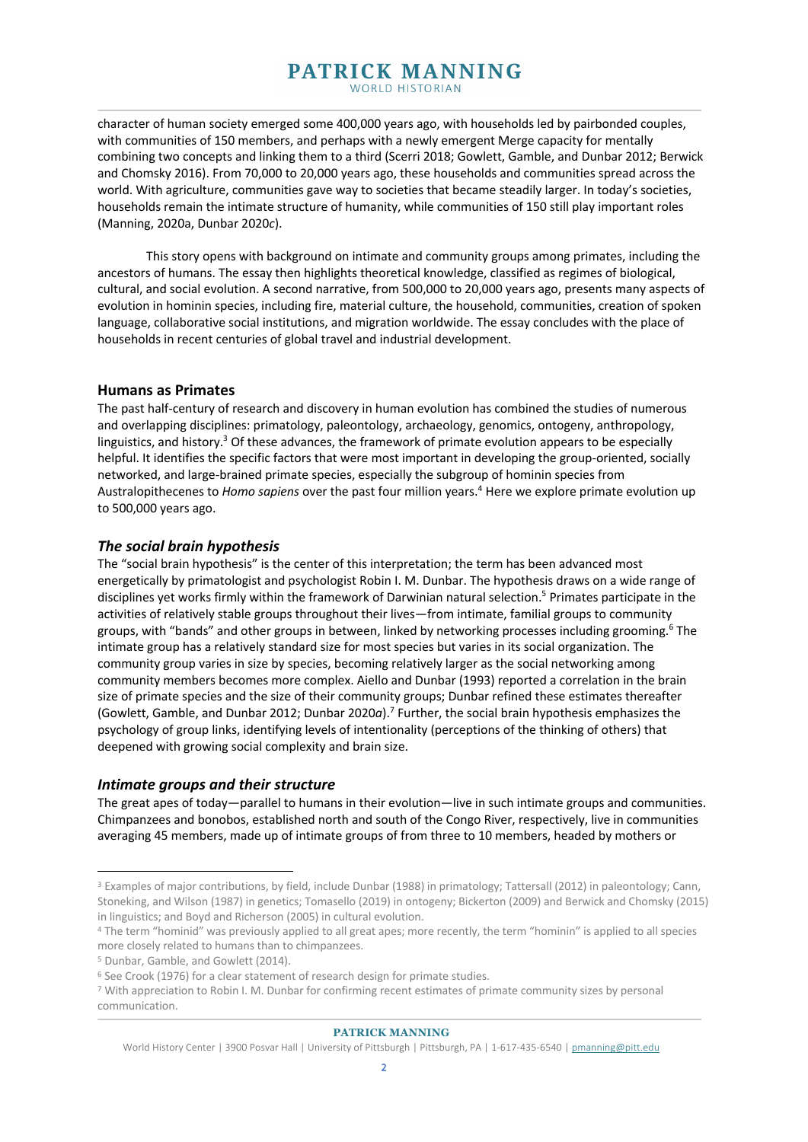character of human society emerged some 400,000 years ago, with households led by pairbonded couples, with communities of 150 members, and perhaps with a newly emergent Merge capacity for mentally combining two concepts and linking them to a third (Scerri 2018; Gowlett, Gamble, and Dunbar 2012; Berwick and Chomsky 2016). From 70,000 to 20,000 years ago, these households and communities spread across the world. With agriculture, communities gave way to societies that became steadily larger. In today's societies, households remain the intimate structure of humanity, while communities of 150 still play important roles (Manning, 2020a, Dunbar 2020*c*).

This story opens with background on intimate and community groups among primates, including the ancestors of humans. The essay then highlights theoretical knowledge, classified as regimes of biological, cultural, and social evolution. A second narrative, from 500,000 to 20,000 years ago, presents many aspects of evolution in hominin species, including fire, material culture, the household, communities, creation of spoken language, collaborative social institutions, and migration worldwide. The essay concludes with the place of households in recent centuries of global travel and industrial development.

## **Humans as Primates**

The past half-century of research and discovery in human evolution has combined the studies of numerous and overlapping disciplines: primatology, paleontology, archaeology, genomics, ontogeny, anthropology, linguistics, and history.<sup>3</sup> Of these advances, the framework of primate evolution appears to be especially helpful. It identifies the specific factors that were most important in developing the group-oriented, socially networked, and large-brained primate species, especially the subgroup of hominin species from Australopithecenes to *Homo sapiens* over the past four million years. <sup>4</sup> Here we explore primate evolution up to 500,000 years ago.

## *The social brain hypothesis*

The "social brain hypothesis" is the center of this interpretation; the term has been advanced most energetically by primatologist and psychologist Robin I. M. Dunbar. The hypothesis draws on a wide range of disciplines yet works firmly within the framework of Darwinian natural selection.<sup>5</sup> Primates participate in the activities of relatively stable groups throughout their lives—from intimate, familial groups to community groups, with "bands" and other groups in between, linked by networking processes including grooming. <sup>6</sup> The intimate group has a relatively standard size for most species but varies in its social organization. The community group varies in size by species, becoming relatively larger as the social networking among community members becomes more complex. Aiello and Dunbar (1993) reported a correlation in the brain size of primate species and the size of their community groups; Dunbar refined these estimates thereafter (Gowlett, Gamble, and Dunbar 2012; Dunbar 2020*a*). <sup>7</sup> Further, the social brain hypothesis emphasizes the psychology of group links, identifying levels of intentionality (perceptions of the thinking of others) that deepened with growing social complexity and brain size.

## *Intimate groups and their structure*

The great apes of today—parallel to humans in their evolution—live in such intimate groups and communities. Chimpanzees and bonobos, established north and south of the Congo River, respectively, live in communities averaging 45 members, made up of intimate groups of from three to 10 members, headed by mothers or

<sup>3</sup> Examples of major contributions, by field, include Dunbar (1988) in primatology; Tattersall (2012) in paleontology; Cann, Stoneking, and Wilson (1987) in genetics; Tomasello (2019) in ontogeny; Bickerton (2009) and Berwick and Chomsky (2015)

in linguistics; and Boyd and Richerson (2005) in cultural evolution.<br>4 The term "hominid" was previously applied to all great apes; more recently, the term "hominin" is applied to all species more closely related to humans than to chimpanzees.

<sup>&</sup>lt;sup>5</sup> Dunbar, Gamble, and Gowlett (2014).<br><sup>6</sup> See Crook (1976) for a clear statement of research design for primate studies.

<sup>7</sup> With appreciation to Robin I. M. Dunbar for confirming recent estimates of primate community sizes by personal communication.

World History Center | 3900 Posvar Hall | University of Pittsburgh | Pittsburgh, PA | 1-617-435-6540 | pmanning@pitt.edu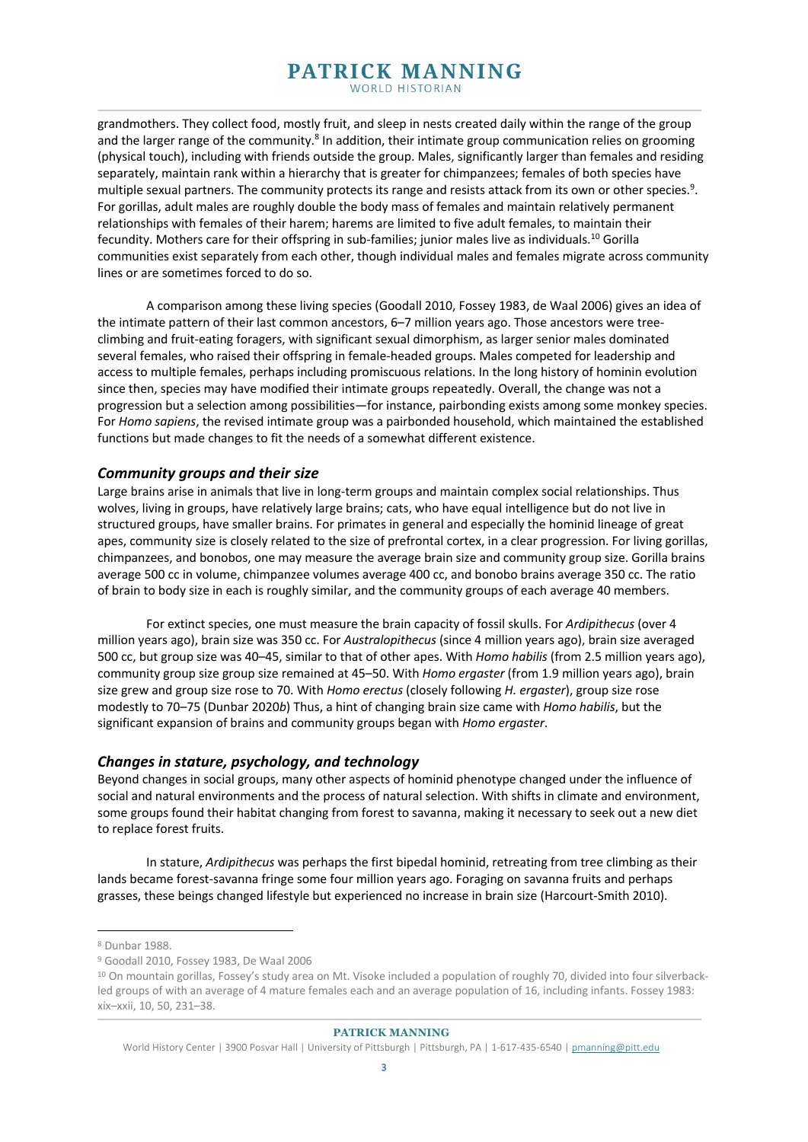grandmothers. They collect food, mostly fruit, and sleep in nests created daily within the range of the group and the larger range of the community.<sup>8</sup> In addition, their intimate group communication relies on grooming (physical touch), including with friends outside the group. Males, significantly larger than females and residing separately, maintain rank within a hierarchy that is greater for chimpanzees; females of both species have multiple sexual partners. The community protects its range and resists attack from its own or other species.<sup>9</sup>. For gorillas, adult males are roughly double the body mass of females and maintain relatively permanent relationships with females of their harem; harems are limited to five adult females, to maintain their fecundity. Mothers care for their offspring in sub-families; junior males live as individuals.10 Gorilla communities exist separately from each other, though individual males and females migrate across community lines or are sometimes forced to do so.

A comparison among these living species (Goodall 2010, Fossey 1983, de Waal 2006) gives an idea of the intimate pattern of their last common ancestors, 6–7 million years ago. Those ancestors were treeclimbing and fruit-eating foragers, with significant sexual dimorphism, as larger senior males dominated several females, who raised their offspring in female-headed groups. Males competed for leadership and access to multiple females, perhaps including promiscuous relations. In the long history of hominin evolution since then, species may have modified their intimate groups repeatedly. Overall, the change was not a progression but a selection among possibilities—for instance, pairbonding exists among some monkey species. For *Homo sapiens*, the revised intimate group was a pairbonded household, which maintained the established functions but made changes to fit the needs of a somewhat different existence.

## *Community groups and their size*

Large brains arise in animals that live in long-term groups and maintain complex social relationships. Thus wolves, living in groups, have relatively large brains; cats, who have equal intelligence but do not live in structured groups, have smaller brains. For primates in general and especially the hominid lineage of great apes, community size is closely related to the size of prefrontal cortex, in a clear progression. For living gorillas, chimpanzees, and bonobos, one may measure the average brain size and community group size. Gorilla brains average 500 cc in volume, chimpanzee volumes average 400 cc, and bonobo brains average 350 cc. The ratio of brain to body size in each is roughly similar, and the community groups of each average 40 members.

For extinct species, one must measure the brain capacity of fossil skulls. For *Ardipithecus* (over 4 million years ago), brain size was 350 cc. For *Australopithecus* (since 4 million years ago), brain size averaged 500 cc, but group size was 40–45, similar to that of other apes. With *Homo habilis* (from 2.5 million years ago), community group size group size remained at 45–50. With *Homo ergaster* (from 1.9 million years ago), brain size grew and group size rose to 70. With *Homo erectus* (closely following *H. ergaster*), group size rose modestly to 70–75 (Dunbar 2020*b*) Thus, a hint of changing brain size came with *Homo habilis*, but the significant expansion of brains and community groups began with *Homo ergaster*.

## *Changes in stature, psychology, and technology*

Beyond changes in social groups, many other aspects of hominid phenotype changed under the influence of social and natural environments and the process of natural selection. With shifts in climate and environment, some groups found their habitat changing from forest to savanna, making it necessary to seek out a new diet to replace forest fruits.

In stature, *Ardipithecus* was perhaps the first bipedal hominid, retreating from tree climbing as their lands became forest-savanna fringe some four million years ago. Foraging on savanna fruits and perhaps grasses, these beings changed lifestyle but experienced no increase in brain size (Harcourt-Smith 2010).

<sup>8</sup> Dunbar 1988.

<sup>9</sup> Goodall 2010, Fossey 1983, De Waal 2006

<sup>&</sup>lt;sup>10</sup> On mountain gorillas, Fossey's study area on Mt. Visoke included a population of roughly 70, divided into four silverbackled groups of with an average of 4 mature females each and an average population of 16, including infants. Fossey 1983: xix–xxii, 10, 50, 231–38.

World History Center | 3900 Posvar Hall | University of Pittsburgh | Pittsburgh, PA | 1-617-435-6540 | pmanning@pitt.edu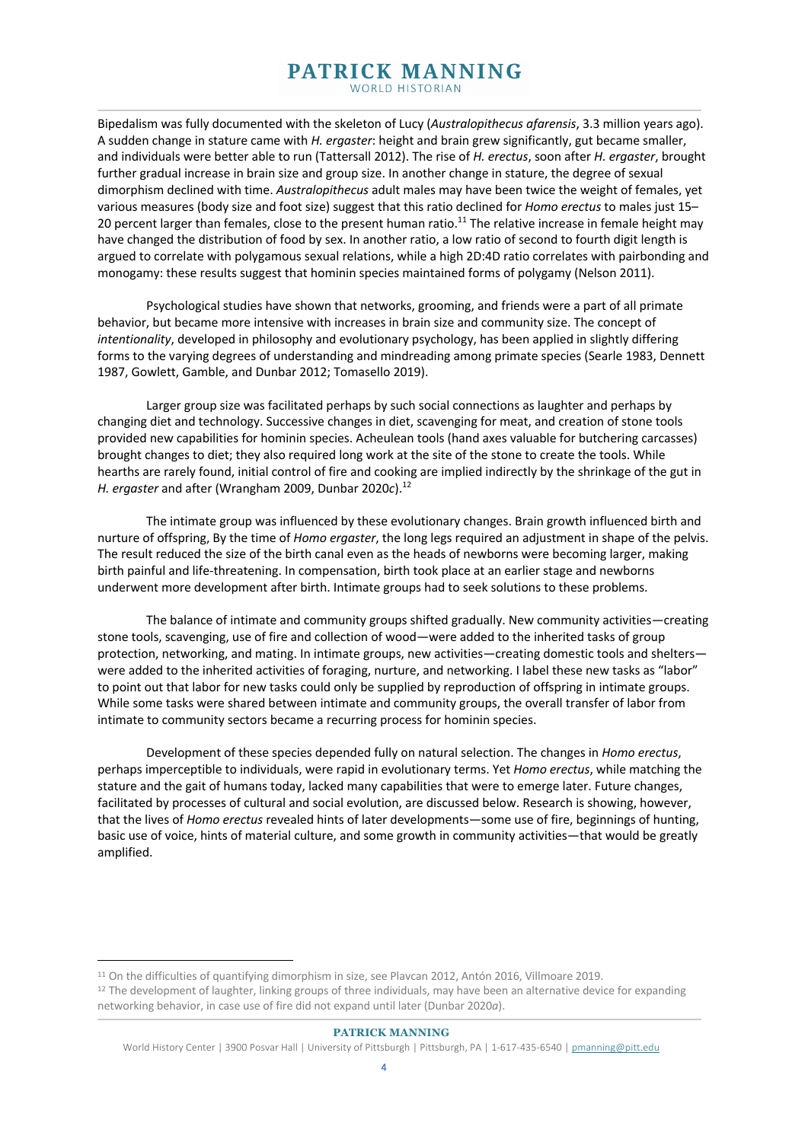Bipedalism was fully documented with the skeleton of Lucy (*Australopithecus afarensis*, 3.3 million years ago). A sudden change in stature came with *H. ergaster*: height and brain grew significantly, gut became smaller, and individuals were better able to run (Tattersall 2012). The rise of *H. erectus*, soon after *H. ergaster*, brought further gradual increase in brain size and group size. In another change in stature, the degree of sexual dimorphism declined with time. *Australopithecus* adult males may have been twice the weight of females, yet various measures (body size and foot size) suggest that this ratio declined for *Homo erectus* to males just 15– 20 percent larger than females, close to the present human ratio.<sup>11</sup> The relative increase in female height may have changed the distribution of food by sex. In another ratio, a low ratio of second to fourth digit length is argued to correlate with polygamous sexual relations, while a high 2D:4D ratio correlates with pairbonding and monogamy: these results suggest that hominin species maintained forms of polygamy (Nelson 2011).

Psychological studies have shown that networks, grooming, and friends were a part of all primate behavior, but became more intensive with increases in brain size and community size. The concept of *intentionality*, developed in philosophy and evolutionary psychology, has been applied in slightly differing forms to the varying degrees of understanding and mindreading among primate species (Searle 1983, Dennett 1987, Gowlett, Gamble, and Dunbar 2012; Tomasello 2019).

Larger group size was facilitated perhaps by such social connections as laughter and perhaps by changing diet and technology. Successive changes in diet, scavenging for meat, and creation of stone tools provided new capabilities for hominin species. Acheulean tools (hand axes valuable for butchering carcasses) brought changes to diet; they also required long work at the site of the stone to create the tools. While hearths are rarely found, initial control of fire and cooking are implied indirectly by the shrinkage of the gut in *H. ergaster* and after (Wrangham 2009, Dunbar 2020*c*). 12

The intimate group was influenced by these evolutionary changes. Brain growth influenced birth and nurture of offspring, By the time of *Homo ergaster*, the long legs required an adjustment in shape of the pelvis. The result reduced the size of the birth canal even as the heads of newborns were becoming larger, making birth painful and life-threatening. In compensation, birth took place at an earlier stage and newborns underwent more development after birth. Intimate groups had to seek solutions to these problems.

The balance of intimate and community groups shifted gradually. New community activities—creating stone tools, scavenging, use of fire and collection of wood—were added to the inherited tasks of group protection, networking, and mating. In intimate groups, new activities—creating domestic tools and shelters were added to the inherited activities of foraging, nurture, and networking. I label these new tasks as "labor" to point out that labor for new tasks could only be supplied by reproduction of offspring in intimate groups. While some tasks were shared between intimate and community groups, the overall transfer of labor from intimate to community sectors became a recurring process for hominin species.

Development of these species depended fully on natural selection. The changes in *Homo erectus*, perhaps imperceptible to individuals, were rapid in evolutionary terms. Yet *Homo erectus*, while matching the stature and the gait of humans today, lacked many capabilities that were to emerge later. Future changes, facilitated by processes of cultural and social evolution, are discussed below. Research is showing, however, that the lives of *Homo erectus* revealed hints of later developments—some use of fire, beginnings of hunting, basic use of voice, hints of material culture, and some growth in community activities—that would be greatly amplified.

<sup>&</sup>lt;sup>11</sup> On the difficulties of quantifying dimorphism in size, see Plavcan 2012, Antón 2016, Villmoare 2019.

<sup>&</sup>lt;sup>12</sup> The development of laughter, linking groups of three individuals, may have been an alternative device for expanding networking behavior, in case use of fire did not expand until later (Dunbar 2020*a*).

World History Center | 3900 Posvar Hall | University of Pittsburgh | Pittsburgh, PA | 1-617-435-6540 | pmanning@pitt.edu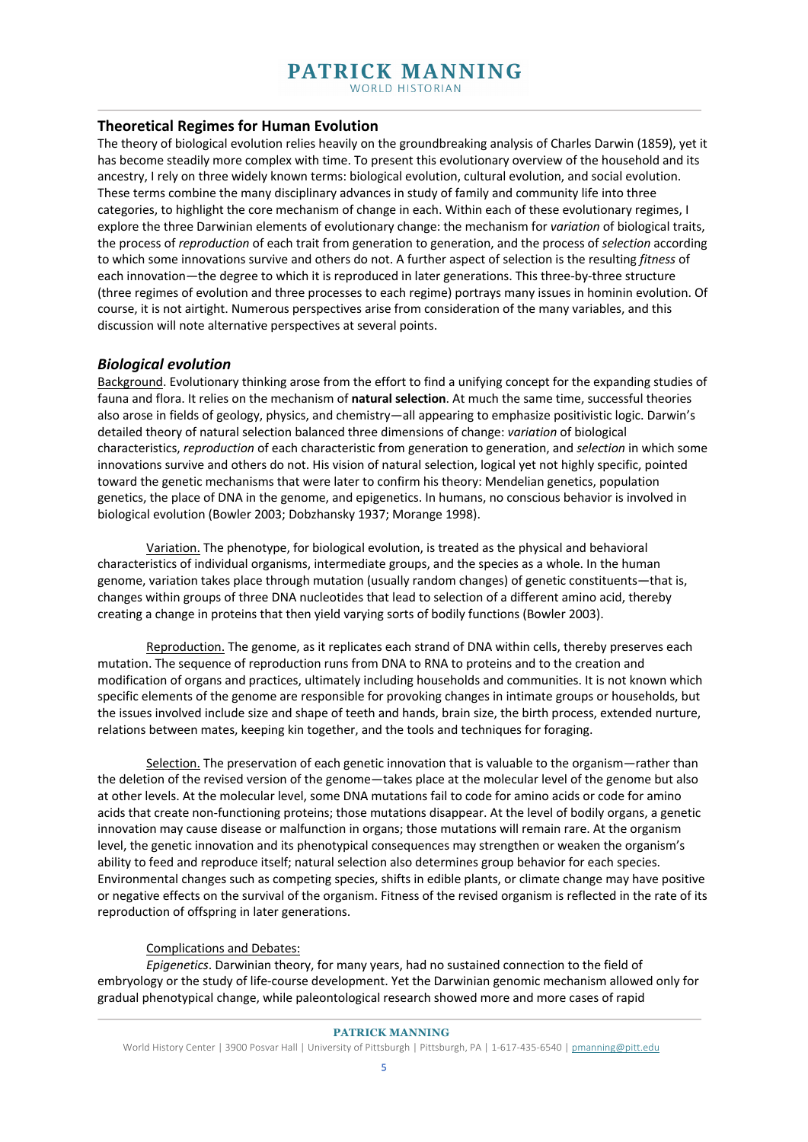## **Theoretical Regimes for Human Evolution**

The theory of biological evolution relies heavily on the groundbreaking analysis of Charles Darwin (1859), yet it has become steadily more complex with time. To present this evolutionary overview of the household and its ancestry, I rely on three widely known terms: biological evolution, cultural evolution, and social evolution. These terms combine the many disciplinary advances in study of family and community life into three categories, to highlight the core mechanism of change in each. Within each of these evolutionary regimes, I explore the three Darwinian elements of evolutionary change: the mechanism for *variation* of biological traits, the process of *reproduction* of each trait from generation to generation, and the process of *selection* according to which some innovations survive and others do not. A further aspect of selection is the resulting *fitness* of each innovation—the degree to which it is reproduced in later generations. This three-by-three structure (three regimes of evolution and three processes to each regime) portrays many issues in hominin evolution. Of course, it is not airtight. Numerous perspectives arise from consideration of the many variables, and this discussion will note alternative perspectives at several points.

#### *Biological evolution*

Background. Evolutionary thinking arose from the effort to find a unifying concept for the expanding studies of fauna and flora. It relies on the mechanism of **natural selection**. At much the same time, successful theories also arose in fields of geology, physics, and chemistry—all appearing to emphasize positivistic logic. Darwin's detailed theory of natural selection balanced three dimensions of change: *variation* of biological characteristics, *reproduction* of each characteristic from generation to generation, and *selection* in which some innovations survive and others do not. His vision of natural selection, logical yet not highly specific, pointed toward the genetic mechanisms that were later to confirm his theory: Mendelian genetics, population genetics, the place of DNA in the genome, and epigenetics. In humans, no conscious behavior is involved in biological evolution (Bowler 2003; Dobzhansky 1937; Morange 1998).

Variation. The phenotype, for biological evolution, is treated as the physical and behavioral characteristics of individual organisms, intermediate groups, and the species as a whole. In the human genome, variation takes place through mutation (usually random changes) of genetic constituents—that is, changes within groups of three DNA nucleotides that lead to selection of a different amino acid, thereby creating a change in proteins that then yield varying sorts of bodily functions (Bowler 2003).

Reproduction. The genome, as it replicates each strand of DNA within cells, thereby preserves each mutation. The sequence of reproduction runs from DNA to RNA to proteins and to the creation and modification of organs and practices, ultimately including households and communities. It is not known which specific elements of the genome are responsible for provoking changes in intimate groups or households, but the issues involved include size and shape of teeth and hands, brain size, the birth process, extended nurture, relations between mates, keeping kin together, and the tools and techniques for foraging.

Selection. The preservation of each genetic innovation that is valuable to the organism—rather than the deletion of the revised version of the genome—takes place at the molecular level of the genome but also at other levels. At the molecular level, some DNA mutations fail to code for amino acids or code for amino acids that create non-functioning proteins; those mutations disappear. At the level of bodily organs, a genetic innovation may cause disease or malfunction in organs; those mutations will remain rare. At the organism level, the genetic innovation and its phenotypical consequences may strengthen or weaken the organism's ability to feed and reproduce itself; natural selection also determines group behavior for each species. Environmental changes such as competing species, shifts in edible plants, or climate change may have positive or negative effects on the survival of the organism. Fitness of the revised organism is reflected in the rate of its reproduction of offspring in later generations.

#### Complications and Debates:

*Epigenetics*. Darwinian theory, for many years, had no sustained connection to the field of embryology or the study of life-course development. Yet the Darwinian genomic mechanism allowed only for gradual phenotypical change, while paleontological research showed more and more cases of rapid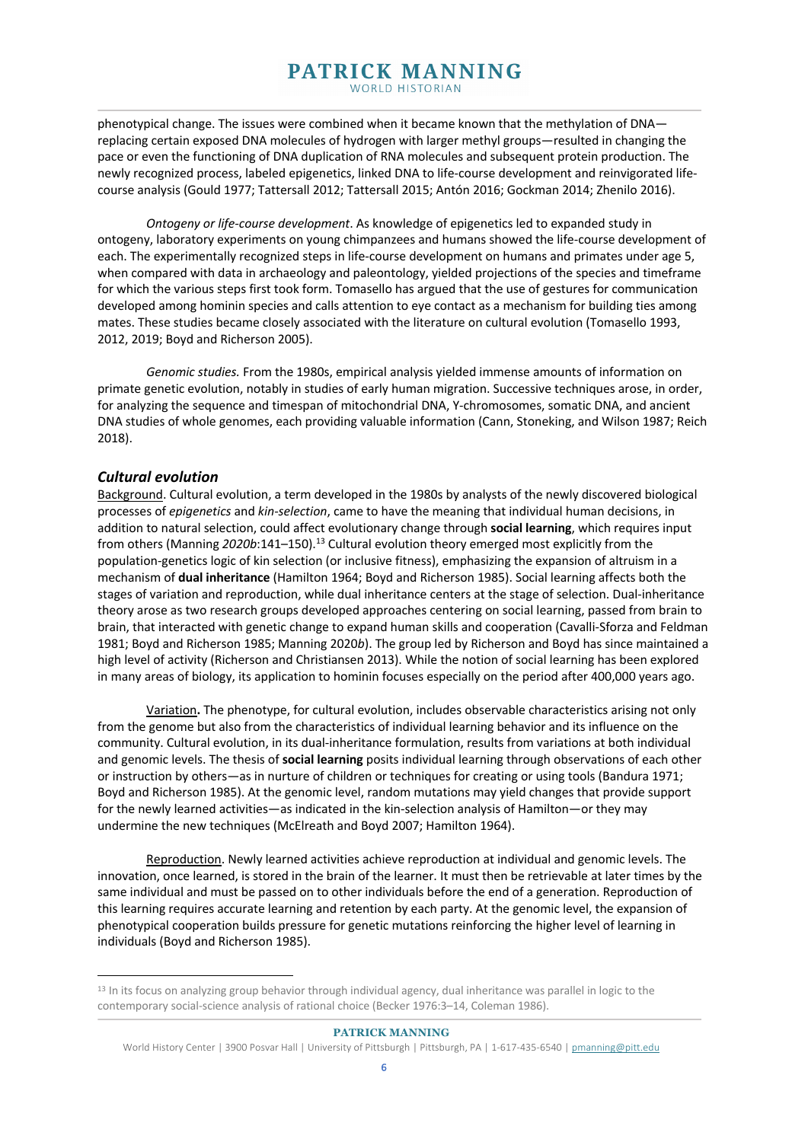phenotypical change. The issues were combined when it became known that the methylation of DNA replacing certain exposed DNA molecules of hydrogen with larger methyl groups—resulted in changing the pace or even the functioning of DNA duplication of RNA molecules and subsequent protein production. The newly recognized process, labeled epigenetics, linked DNA to life-course development and reinvigorated lifecourse analysis (Gould 1977; Tattersall 2012; Tattersall 2015; Antón 2016; Gockman 2014; Zhenilo 2016).

*Ontogeny or life-course development*. As knowledge of epigenetics led to expanded study in ontogeny, laboratory experiments on young chimpanzees and humans showed the life-course development of each. The experimentally recognized steps in life-course development on humans and primates under age 5, when compared with data in archaeology and paleontology, yielded projections of the species and timeframe for which the various steps first took form. Tomasello has argued that the use of gestures for communication developed among hominin species and calls attention to eye contact as a mechanism for building ties among mates. These studies became closely associated with the literature on cultural evolution (Tomasello 1993, 2012, 2019; Boyd and Richerson 2005).

*Genomic studies.* From the 1980s, empirical analysis yielded immense amounts of information on primate genetic evolution, notably in studies of early human migration. Successive techniques arose, in order, for analyzing the sequence and timespan of mitochondrial DNA, Y-chromosomes, somatic DNA, and ancient DNA studies of whole genomes, each providing valuable information (Cann, Stoneking, and Wilson 1987; Reich 2018).

## *Cultural evolution*

Background. Cultural evolution, a term developed in the 1980s by analysts of the newly discovered biological processes of *epigenetics* and *kin-selection*, came to have the meaning that individual human decisions, in addition to natural selection, could affect evolutionary change through **social learning**, which requires input from others (Manning *2020b*:141–150). <sup>13</sup> Cultural evolution theory emerged most explicitly from the population-genetics logic of kin selection (or inclusive fitness), emphasizing the expansion of altruism in a mechanism of **dual inheritance** (Hamilton 1964; Boyd and Richerson 1985). Social learning affects both the stages of variation and reproduction, while dual inheritance centers at the stage of selection. Dual-inheritance theory arose as two research groups developed approaches centering on social learning, passed from brain to brain, that interacted with genetic change to expand human skills and cooperation (Cavalli-Sforza and Feldman 1981; Boyd and Richerson 1985; Manning 2020*b*). The group led by Richerson and Boyd has since maintained a high level of activity (Richerson and Christiansen 2013). While the notion of social learning has been explored in many areas of biology, its application to hominin focuses especially on the period after 400,000 years ago.

Variation**.** The phenotype, for cultural evolution, includes observable characteristics arising not only from the genome but also from the characteristics of individual learning behavior and its influence on the community. Cultural evolution, in its dual-inheritance formulation, results from variations at both individual and genomic levels. The thesis of **social learning** posits individual learning through observations of each other or instruction by others—as in nurture of children or techniques for creating or using tools (Bandura 1971; Boyd and Richerson 1985). At the genomic level, random mutations may yield changes that provide support for the newly learned activities—as indicated in the kin-selection analysis of Hamilton—or they may undermine the new techniques (McElreath and Boyd 2007; Hamilton 1964).

Reproduction. Newly learned activities achieve reproduction at individual and genomic levels. The innovation, once learned, is stored in the brain of the learner. It must then be retrievable at later times by the same individual and must be passed on to other individuals before the end of a generation. Reproduction of this learning requires accurate learning and retention by each party. At the genomic level, the expansion of phenotypical cooperation builds pressure for genetic mutations reinforcing the higher level of learning in individuals (Boyd and Richerson 1985).

<sup>&</sup>lt;sup>13</sup> In its focus on analyzing group behavior through individual agency, dual inheritance was parallel in logic to the contemporary social-science analysis of rational choice (Becker 1976:3–14, Coleman 1986).

World History Center | 3900 Posvar Hall | University of Pittsburgh | Pittsburgh, PA | 1-617-435-6540 | pmanning@pitt.edu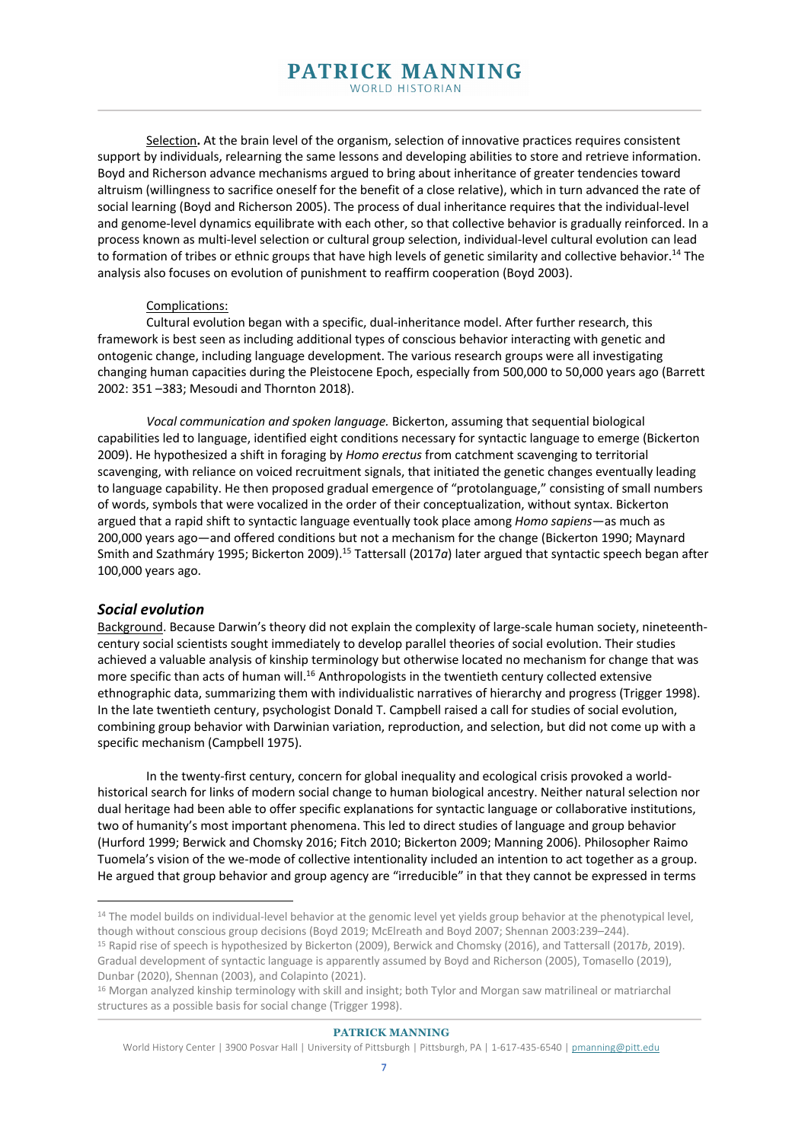Selection**.** At the brain level of the organism, selection of innovative practices requires consistent support by individuals, relearning the same lessons and developing abilities to store and retrieve information. Boyd and Richerson advance mechanisms argued to bring about inheritance of greater tendencies toward altruism (willingness to sacrifice oneself for the benefit of a close relative), which in turn advanced the rate of social learning (Boyd and Richerson 2005). The process of dual inheritance requires that the individual-level and genome-level dynamics equilibrate with each other, so that collective behavior is gradually reinforced. In a process known as multi-level selection or cultural group selection, individual-level cultural evolution can lead to formation of tribes or ethnic groups that have high levels of genetic similarity and collective behavior.<sup>14</sup> The analysis also focuses on evolution of punishment to reaffirm cooperation (Boyd 2003).

#### Complications:

Cultural evolution began with a specific, dual-inheritance model. After further research, this framework is best seen as including additional types of conscious behavior interacting with genetic and ontogenic change, including language development. The various research groups were all investigating changing human capacities during the Pleistocene Epoch, especially from 500,000 to 50,000 years ago (Barrett 2002: 351 –383; Mesoudi and Thornton 2018).

*Vocal communication and spoken language.* Bickerton, assuming that sequential biological capabilities led to language, identified eight conditions necessary for syntactic language to emerge (Bickerton 2009). He hypothesized a shift in foraging by *Homo erectus* from catchment scavenging to territorial scavenging, with reliance on voiced recruitment signals, that initiated the genetic changes eventually leading to language capability. He then proposed gradual emergence of "protolanguage," consisting of small numbers of words, symbols that were vocalized in the order of their conceptualization, without syntax. Bickerton argued that a rapid shift to syntactic language eventually took place among *Homo sapiens*—as much as 200,000 years ago—and offered conditions but not a mechanism for the change (Bickerton 1990; Maynard Smith and Szathmáry 1995; Bickerton 2009).<sup>15</sup> Tattersall (2017a) later argued that syntactic speech began after 100,000 years ago.

#### *Social evolution*

Background. Because Darwin's theory did not explain the complexity of large-scale human society, nineteenthcentury social scientists sought immediately to develop parallel theories of social evolution. Their studies achieved a valuable analysis of kinship terminology but otherwise located no mechanism for change that was more specific than acts of human will.<sup>16</sup> Anthropologists in the twentieth century collected extensive ethnographic data, summarizing them with individualistic narratives of hierarchy and progress (Trigger 1998). In the late twentieth century, psychologist Donald T. Campbell raised a call for studies of social evolution, combining group behavior with Darwinian variation, reproduction, and selection, but did not come up with a specific mechanism (Campbell 1975).

In the twenty-first century, concern for global inequality and ecological crisis provoked a worldhistorical search for links of modern social change to human biological ancestry. Neither natural selection nor dual heritage had been able to offer specific explanations for syntactic language or collaborative institutions, two of humanity's most important phenomena. This led to direct studies of language and group behavior (Hurford 1999; Berwick and Chomsky 2016; Fitch 2010; Bickerton 2009; Manning 2006). Philosopher Raimo Tuomela's vision of the we-mode of collective intentionality included an intention to act together as a group. He argued that group behavior and group agency are "irreducible" in that they cannot be expressed in terms

<sup>&</sup>lt;sup>14</sup> The model builds on individual-level behavior at the genomic level yet yields group behavior at the phenotypical level, though without conscious group decisions (Boyd 2019; McElreath and Boyd 2007; Shennan 2003:239–244).

<sup>15</sup> Rapid rise of speech is hypothesized by Bickerton (2009), Berwick and Chomsky (2016), and Tattersall (2017*b*, 2019). Gradual development of syntactic language is apparently assumed by Boyd and Richerson (2005), Tomasello (2019), Dunbar (2020), Shennan (2003), and Colapinto (2021).

<sup>16</sup> Morgan analyzed kinship terminology with skill and insight; both Tylor and Morgan saw matrilineal or matriarchal structures as a possible basis for social change (Trigger 1998).

World History Center | 3900 Posvar Hall | University of Pittsburgh | Pittsburgh, PA | 1-617-435-6540 | pmanning@pitt.edu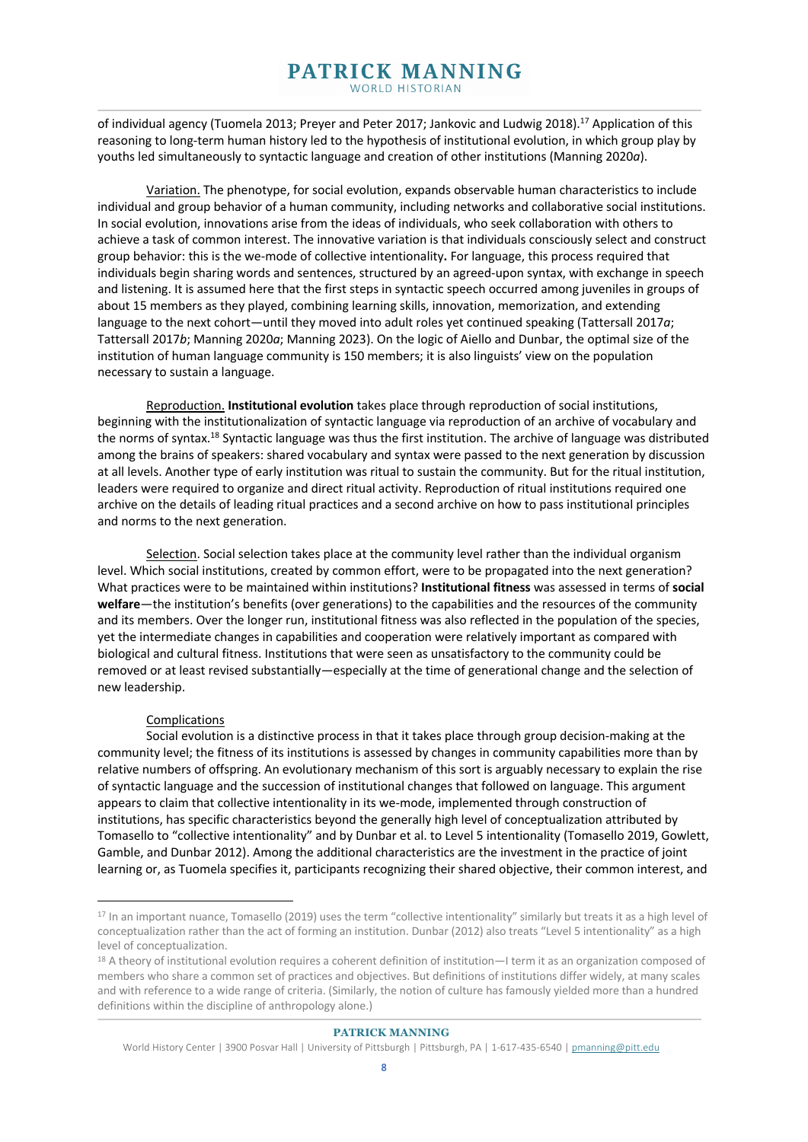of individual agency (Tuomela 2013; Preyer and Peter 2017; Jankovic and Ludwig 2018).<sup>17</sup> Application of this reasoning to long-term human history led to the hypothesis of institutional evolution, in which group play by youths led simultaneously to syntactic language and creation of other institutions (Manning 2020*a*).

Variation. The phenotype, for social evolution, expands observable human characteristics to include individual and group behavior of a human community, including networks and collaborative social institutions. In social evolution, innovations arise from the ideas of individuals, who seek collaboration with others to achieve a task of common interest. The innovative variation is that individuals consciously select and construct group behavior: this is the we-mode of collective intentionality**.** For language, this process required that individuals begin sharing words and sentences, structured by an agreed-upon syntax, with exchange in speech and listening. It is assumed here that the first steps in syntactic speech occurred among juveniles in groups of about 15 members as they played, combining learning skills, innovation, memorization, and extending language to the next cohort—until they moved into adult roles yet continued speaking (Tattersall 2017*a*; Tattersall 2017*b*; Manning 2020*a*; Manning 2023). On the logic of Aiello and Dunbar, the optimal size of the institution of human language community is 150 members; it is also linguists' view on the population necessary to sustain a language.

Reproduction. **Institutional evolution** takes place through reproduction of social institutions, beginning with the institutionalization of syntactic language via reproduction of an archive of vocabulary and the norms of syntax.<sup>18</sup> Syntactic language was thus the first institution. The archive of language was distributed among the brains of speakers: shared vocabulary and syntax were passed to the next generation by discussion at all levels. Another type of early institution was ritual to sustain the community. But for the ritual institution, leaders were required to organize and direct ritual activity. Reproduction of ritual institutions required one archive on the details of leading ritual practices and a second archive on how to pass institutional principles and norms to the next generation.

Selection. Social selection takes place at the community level rather than the individual organism level. Which social institutions, created by common effort, were to be propagated into the next generation? What practices were to be maintained within institutions? **Institutional fitness** was assessed in terms of **social welfare**—the institution's benefits (over generations) to the capabilities and the resources of the community and its members. Over the longer run, institutional fitness was also reflected in the population of the species, yet the intermediate changes in capabilities and cooperation were relatively important as compared with biological and cultural fitness. Institutions that were seen as unsatisfactory to the community could be removed or at least revised substantially—especially at the time of generational change and the selection of new leadership.

## Complications

Social evolution is a distinctive process in that it takes place through group decision-making at the community level; the fitness of its institutions is assessed by changes in community capabilities more than by relative numbers of offspring. An evolutionary mechanism of this sort is arguably necessary to explain the rise of syntactic language and the succession of institutional changes that followed on language. This argument appears to claim that collective intentionality in its we-mode, implemented through construction of institutions, has specific characteristics beyond the generally high level of conceptualization attributed by Tomasello to "collective intentionality" and by Dunbar et al. to Level 5 intentionality (Tomasello 2019, Gowlett, Gamble, and Dunbar 2012). Among the additional characteristics are the investment in the practice of joint learning or, as Tuomela specifies it, participants recognizing their shared objective, their common interest, and

<sup>17</sup> In an important nuance, Tomasello (2019) uses the term "collective intentionality" similarly but treats it as a high level of conceptualization rather than the act of forming an institution. Dunbar (2012) also treats "Level 5 intentionality" as a high level of conceptualization.

<sup>18</sup> A theory of institutional evolution requires a coherent definition of institution—I term it as an organization composed of members who share a common set of practices and objectives. But definitions of institutions differ widely, at many scales and with reference to a wide range of criteria. (Similarly, the notion of culture has famously yielded more than a hundred definitions within the discipline of anthropology alone.)

World History Center | 3900 Posvar Hall | University of Pittsburgh | Pittsburgh, PA | 1-617-435-6540 | pmanning@pitt.edu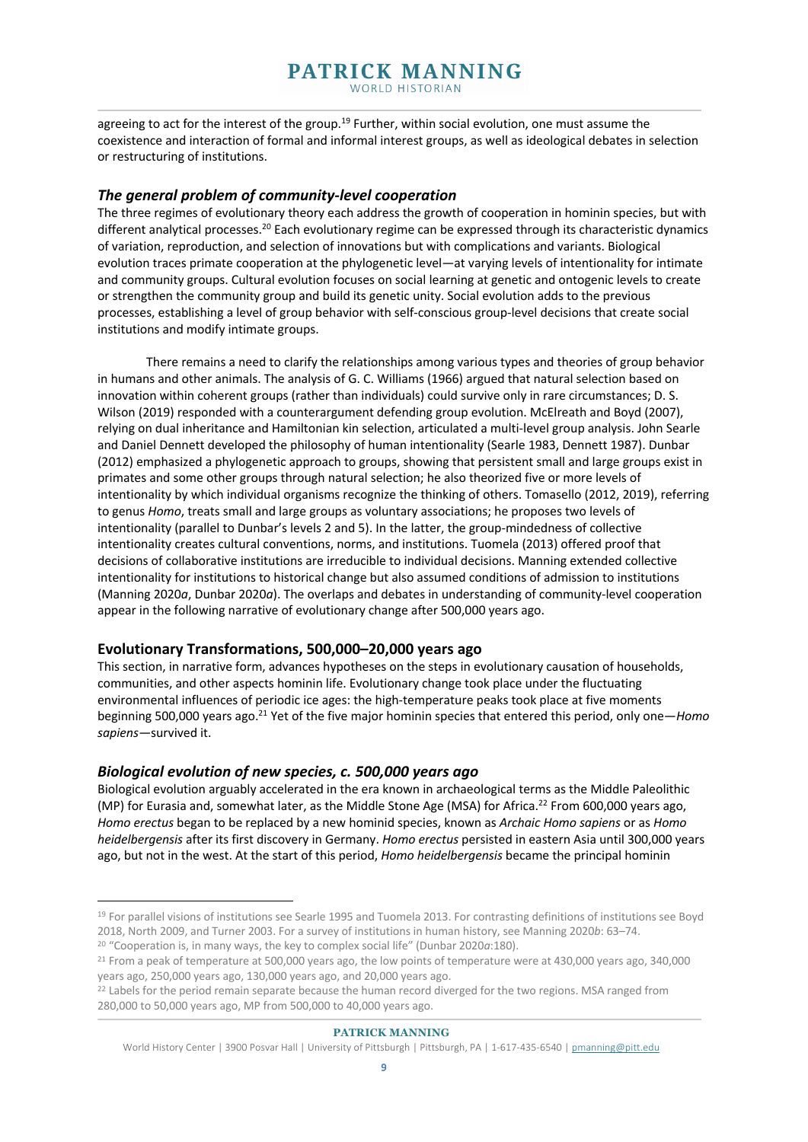agreeing to act for the interest of the group.<sup>19</sup> Further, within social evolution, one must assume the coexistence and interaction of formal and informal interest groups, as well as ideological debates in selection or restructuring of institutions.

## *The general problem of community-level cooperation*

The three regimes of evolutionary theory each address the growth of cooperation in hominin species, but with different analytical processes.<sup>20</sup> Each evolutionary regime can be expressed through its characteristic dynamics of variation, reproduction, and selection of innovations but with complications and variants. Biological evolution traces primate cooperation at the phylogenetic level—at varying levels of intentionality for intimate and community groups. Cultural evolution focuses on social learning at genetic and ontogenic levels to create or strengthen the community group and build its genetic unity. Social evolution adds to the previous processes, establishing a level of group behavior with self-conscious group-level decisions that create social institutions and modify intimate groups.

There remains a need to clarify the relationships among various types and theories of group behavior in humans and other animals. The analysis of G. C. Williams (1966) argued that natural selection based on innovation within coherent groups (rather than individuals) could survive only in rare circumstances; D. S. Wilson (2019) responded with a counterargument defending group evolution. McElreath and Boyd (2007), relying on dual inheritance and Hamiltonian kin selection, articulated a multi-level group analysis. John Searle and Daniel Dennett developed the philosophy of human intentionality (Searle 1983, Dennett 1987). Dunbar (2012) emphasized a phylogenetic approach to groups, showing that persistent small and large groups exist in primates and some other groups through natural selection; he also theorized five or more levels of intentionality by which individual organisms recognize the thinking of others. Tomasello (2012, 2019), referring to genus *Homo*, treats small and large groups as voluntary associations; he proposes two levels of intentionality (parallel to Dunbar's levels 2 and 5). In the latter, the group-mindedness of collective intentionality creates cultural conventions, norms, and institutions. Tuomela (2013) offered proof that decisions of collaborative institutions are irreducible to individual decisions. Manning extended collective intentionality for institutions to historical change but also assumed conditions of admission to institutions (Manning 2020*a*, Dunbar 2020*a*). The overlaps and debates in understanding of community-level cooperation appear in the following narrative of evolutionary change after 500,000 years ago.

## **Evolutionary Transformations, 500,000–20,000 years ago**

This section, in narrative form, advances hypotheses on the steps in evolutionary causation of households, communities, and other aspects hominin life. Evolutionary change took place under the fluctuating environmental influences of periodic ice ages: the high-temperature peaks took place at five moments beginning 500,000 years ago. <sup>21</sup> Yet of the five major hominin species that entered this period, only one—*Homo sapiens—*survived it.

## *Biological evolution of new species, c. 500,000 years ago*

Biological evolution arguably accelerated in the era known in archaeological terms as the Middle Paleolithic (MP) for Eurasia and, somewhat later, as the Middle Stone Age (MSA) for Africa. <sup>22</sup> From 600,000 years ago, *Homo erectus* began to be replaced by a new hominid species, known as *Archaic Homo sapiens* or as *Homo heidelbergensis* after its first discovery in Germany. *Homo erectus* persisted in eastern Asia until 300,000 years ago, but not in the west. At the start of this period, *Homo heidelbergensis* became the principal hominin

<sup>19</sup> For parallel visions of institutions see Searle 1995 and Tuomela 2013. For contrasting definitions of institutions see Boyd 2018, North 2009, and Turner 2003. For a survey of institutions in human history, see Manning 2020*b*: 63–74. <sup>20</sup> "Cooperation is, in many ways, the key to complex social life" (Dunbar 2020*a*:180).

<sup>&</sup>lt;sup>21</sup> From a peak of temperature at 500,000 years ago, the low points of temperature were at 430,000 years ago, 340,000 years ago, 250,000 years ago, 130,000 years ago, and 20,000 years ago.<br><sup>22</sup> Labels for the period remain separate because the human record diverged for the two regions. MSA ranged from

<sup>280,000</sup> to 50,000 years ago, MP from 500,000 to 40,000 years ago.

World History Center | 3900 Posvar Hall | University of Pittsburgh | Pittsburgh, PA | 1-617-435-6540 | pmanning@pitt.edu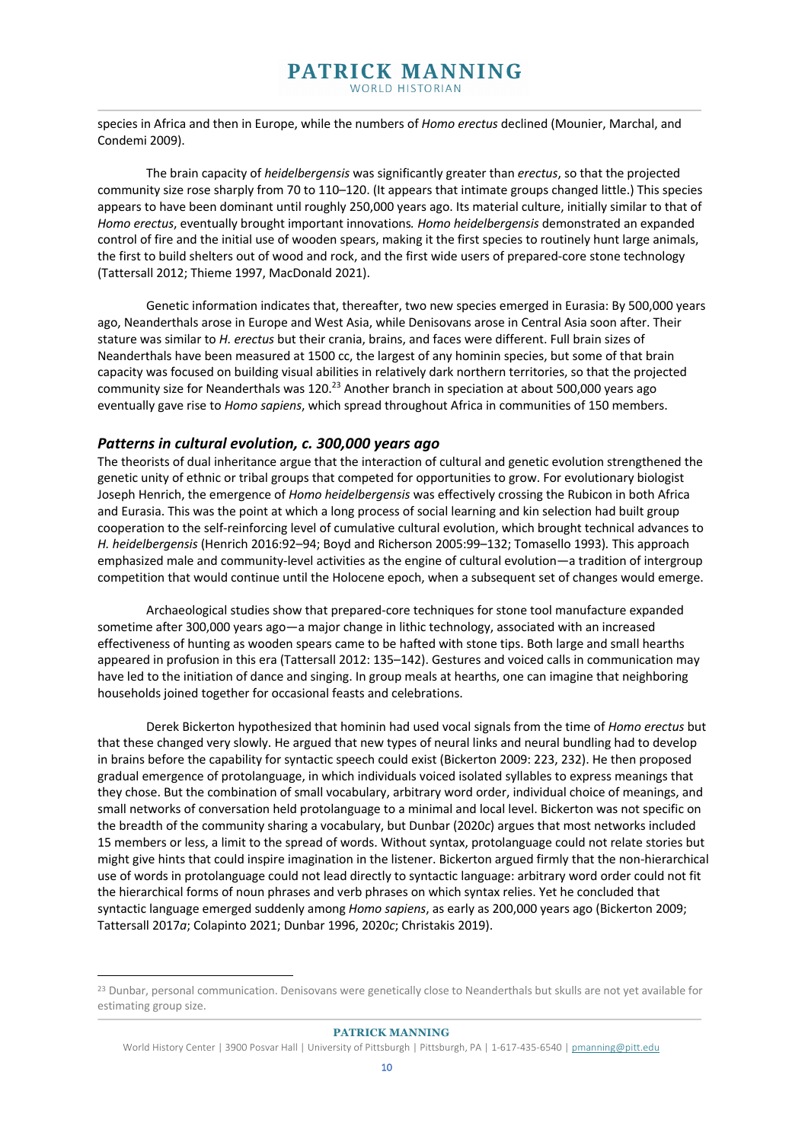species in Africa and then in Europe, while the numbers of *Homo erectus* declined (Mounier, Marchal, and Condemi 2009).

The brain capacity of *heidelbergensis* was significantly greater than *erectus*, so that the projected community size rose sharply from 70 to 110–120. (It appears that intimate groups changed little.) This species appears to have been dominant until roughly 250,000 years ago. Its material culture, initially similar to that of *Homo erectus*, eventually brought important innovations*. Homo heidelbergensis* demonstrated an expanded control of fire and the initial use of wooden spears, making it the first species to routinely hunt large animals, the first to build shelters out of wood and rock, and the first wide users of prepared-core stone technology (Tattersall 2012; Thieme 1997, MacDonald 2021).

Genetic information indicates that, thereafter, two new species emerged in Eurasia: By 500,000 years ago, Neanderthals arose in Europe and West Asia, while Denisovans arose in Central Asia soon after. Their stature was similar to *H. erectus* but their crania, brains, and faces were different. Full brain sizes of Neanderthals have been measured at 1500 cc, the largest of any hominin species, but some of that brain capacity was focused on building visual abilities in relatively dark northern territories, so that the projected community size for Neanderthals was 120.<sup>23</sup> Another branch in speciation at about 500,000 years ago eventually gave rise to *Homo sapiens*, which spread throughout Africa in communities of 150 members.

## *Patterns in cultural evolution, c. 300,000 years ago*

The theorists of dual inheritance argue that the interaction of cultural and genetic evolution strengthened the genetic unity of ethnic or tribal groups that competed for opportunities to grow. For evolutionary biologist Joseph Henrich, the emergence of *Homo heidelbergensis* was effectively crossing the Rubicon in both Africa and Eurasia. This was the point at which a long process of social learning and kin selection had built group cooperation to the self-reinforcing level of cumulative cultural evolution, which brought technical advances to *H. heidelbergensis* (Henrich 2016:92–94; Boyd and Richerson 2005:99–132; Tomasello 1993)*.* This approach emphasized male and community-level activities as the engine of cultural evolution—a tradition of intergroup competition that would continue until the Holocene epoch, when a subsequent set of changes would emerge.

Archaeological studies show that prepared-core techniques for stone tool manufacture expanded sometime after 300,000 years ago—a major change in lithic technology, associated with an increased effectiveness of hunting as wooden spears came to be hafted with stone tips. Both large and small hearths appeared in profusion in this era (Tattersall 2012: 135–142). Gestures and voiced calls in communication may have led to the initiation of dance and singing. In group meals at hearths, one can imagine that neighboring households joined together for occasional feasts and celebrations.

Derek Bickerton hypothesized that hominin had used vocal signals from the time of *Homo erectus* but that these changed very slowly. He argued that new types of neural links and neural bundling had to develop in brains before the capability for syntactic speech could exist (Bickerton 2009: 223, 232). He then proposed gradual emergence of protolanguage, in which individuals voiced isolated syllables to express meanings that they chose. But the combination of small vocabulary, arbitrary word order, individual choice of meanings, and small networks of conversation held protolanguage to a minimal and local level. Bickerton was not specific on the breadth of the community sharing a vocabulary, but Dunbar (2020*c*) argues that most networks included 15 members or less, a limit to the spread of words. Without syntax, protolanguage could not relate stories but might give hints that could inspire imagination in the listener. Bickerton argued firmly that the non-hierarchical use of words in protolanguage could not lead directly to syntactic language: arbitrary word order could not fit the hierarchical forms of noun phrases and verb phrases on which syntax relies. Yet he concluded that syntactic language emerged suddenly among *Homo sapiens*, as early as 200,000 years ago (Bickerton 2009; Tattersall 2017*a*; Colapinto 2021; Dunbar 1996, 2020*c*; Christakis 2019).

<sup>&</sup>lt;sup>23</sup> Dunbar, personal communication. Denisovans were genetically close to Neanderthals but skulls are not yet available for estimating group size.

World History Center | 3900 Posvar Hall | University of Pittsburgh | Pittsburgh, PA | 1-617-435-6540 | pmanning@pitt.edu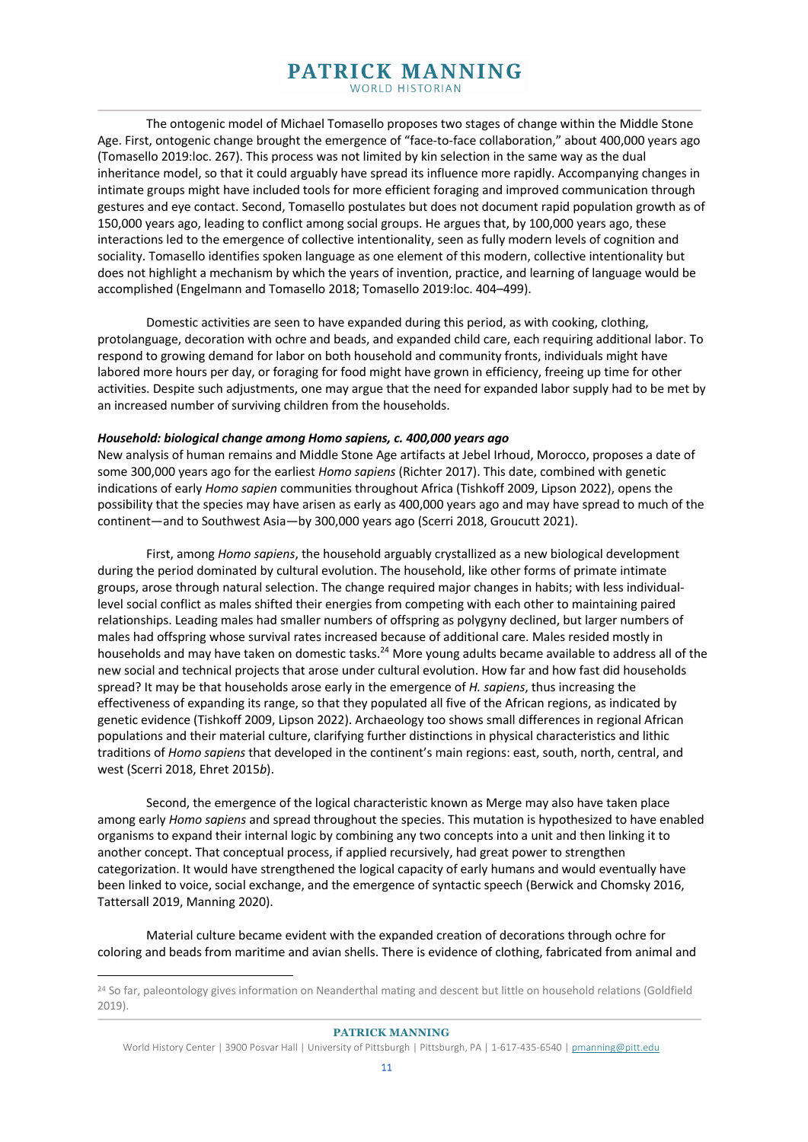The ontogenic model of Michael Tomasello proposes two stages of change within the Middle Stone Age. First, ontogenic change brought the emergence of "face-to-face collaboration," about 400,000 years ago (Tomasello 2019:loc. 267). This process was not limited by kin selection in the same way as the dual inheritance model, so that it could arguably have spread its influence more rapidly. Accompanying changes in intimate groups might have included tools for more efficient foraging and improved communication through gestures and eye contact. Second, Tomasello postulates but does not document rapid population growth as of 150,000 years ago, leading to conflict among social groups. He argues that, by 100,000 years ago, these interactions led to the emergence of collective intentionality, seen as fully modern levels of cognition and sociality. Tomasello identifies spoken language as one element of this modern, collective intentionality but does not highlight a mechanism by which the years of invention, practice, and learning of language would be accomplished (Engelmann and Tomasello 2018; Tomasello 2019:loc. 404–499).

Domestic activities are seen to have expanded during this period, as with cooking, clothing, protolanguage, decoration with ochre and beads, and expanded child care, each requiring additional labor. To respond to growing demand for labor on both household and community fronts, individuals might have labored more hours per day, or foraging for food might have grown in efficiency, freeing up time for other activities. Despite such adjustments, one may argue that the need for expanded labor supply had to be met by an increased number of surviving children from the households.

#### *Household: biological change among Homo sapiens, c. 400,000 years ago*

New analysis of human remains and Middle Stone Age artifacts at Jebel Irhoud, Morocco, proposes a date of some 300,000 years ago for the earliest *Homo sapiens* (Richter 2017). This date, combined with genetic indications of early *Homo sapien* communities throughout Africa (Tishkoff 2009, Lipson 2022), opens the possibility that the species may have arisen as early as 400,000 years ago and may have spread to much of the continent—and to Southwest Asia—by 300,000 years ago (Scerri 2018, Groucutt 2021).

First, among *Homo sapiens*, the household arguably crystallized as a new biological development during the period dominated by cultural evolution. The household, like other forms of primate intimate groups, arose through natural selection. The change required major changes in habits; with less individuallevel social conflict as males shifted their energies from competing with each other to maintaining paired relationships. Leading males had smaller numbers of offspring as polygyny declined, but larger numbers of males had offspring whose survival rates increased because of additional care. Males resided mostly in households and may have taken on domestic tasks.<sup>24</sup> More young adults became available to address all of the new social and technical projects that arose under cultural evolution. How far and how fast did households spread? It may be that households arose early in the emergence of *H. sapiens*, thus increasing the effectiveness of expanding its range, so that they populated all five of the African regions, as indicated by genetic evidence (Tishkoff 2009, Lipson 2022). Archaeology too shows small differences in regional African populations and their material culture, clarifying further distinctions in physical characteristics and lithic traditions of *Homo sapiens* that developed in the continent's main regions: east, south, north, central, and west (Scerri 2018, Ehret 2015*b*).

Second, the emergence of the logical characteristic known as Merge may also have taken place among early *Homo sapiens* and spread throughout the species. This mutation is hypothesized to have enabled organisms to expand their internal logic by combining any two concepts into a unit and then linking it to another concept. That conceptual process, if applied recursively, had great power to strengthen categorization. It would have strengthened the logical capacity of early humans and would eventually have been linked to voice, social exchange, and the emergence of syntactic speech (Berwick and Chomsky 2016, Tattersall 2019, Manning 2020).

Material culture became evident with the expanded creation of decorations through ochre for coloring and beads from maritime and avian shells. There is evidence of clothing, fabricated from animal and

<sup>&</sup>lt;sup>24</sup> So far, paleontology gives information on Neanderthal mating and descent but little on household relations (Goldfield 2019).

World History Center | 3900 Posvar Hall | University of Pittsburgh | Pittsburgh, PA | 1-617-435-6540 | pmanning@pitt.edu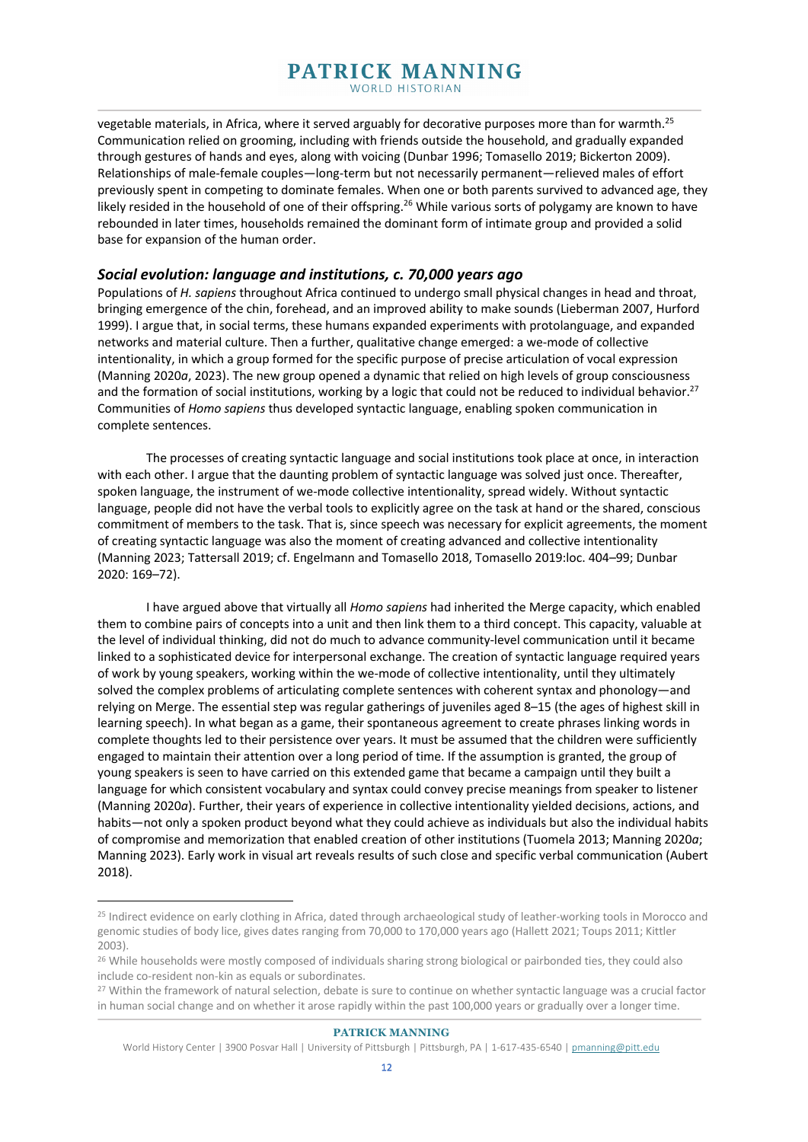vegetable materials, in Africa, where it served arguably for decorative purposes more than for warmth.25 Communication relied on grooming, including with friends outside the household, and gradually expanded through gestures of hands and eyes, along with voicing (Dunbar 1996; Tomasello 2019; Bickerton 2009). Relationships of male-female couples—long-term but not necessarily permanent—relieved males of effort previously spent in competing to dominate females. When one or both parents survived to advanced age, they likely resided in the household of one of their offspring.<sup>26</sup> While various sorts of polygamy are known to have rebounded in later times, households remained the dominant form of intimate group and provided a solid base for expansion of the human order.

## *Social evolution: language and institutions, c. 70,000 years ago*

Populations of *H. sapiens* throughout Africa continued to undergo small physical changes in head and throat, bringing emergence of the chin, forehead, and an improved ability to make sounds (Lieberman 2007, Hurford 1999). I argue that, in social terms, these humans expanded experiments with protolanguage, and expanded networks and material culture. Then a further, qualitative change emerged: a we-mode of collective intentionality, in which a group formed for the specific purpose of precise articulation of vocal expression (Manning 2020*a*, 2023). The new group opened a dynamic that relied on high levels of group consciousness and the formation of social institutions, working by a logic that could not be reduced to individual behavior.<sup>27</sup> Communities of *Homo sapiens* thus developed syntactic language, enabling spoken communication in complete sentences.

The processes of creating syntactic language and social institutions took place at once, in interaction with each other. I argue that the daunting problem of syntactic language was solved just once. Thereafter, spoken language, the instrument of we-mode collective intentionality, spread widely. Without syntactic language, people did not have the verbal tools to explicitly agree on the task at hand or the shared, conscious commitment of members to the task. That is, since speech was necessary for explicit agreements, the moment of creating syntactic language was also the moment of creating advanced and collective intentionality (Manning 2023; Tattersall 2019; cf. Engelmann and Tomasello 2018, Tomasello 2019:loc. 404–99; Dunbar 2020: 169–72).

I have argued above that virtually all *Homo sapiens* had inherited the Merge capacity, which enabled them to combine pairs of concepts into a unit and then link them to a third concept. This capacity, valuable at the level of individual thinking, did not do much to advance community-level communication until it became linked to a sophisticated device for interpersonal exchange. The creation of syntactic language required years of work by young speakers, working within the we-mode of collective intentionality, until they ultimately solved the complex problems of articulating complete sentences with coherent syntax and phonology—and relying on Merge. The essential step was regular gatherings of juveniles aged 8–15 (the ages of highest skill in learning speech). In what began as a game, their spontaneous agreement to create phrases linking words in complete thoughts led to their persistence over years. It must be assumed that the children were sufficiently engaged to maintain their attention over a long period of time. If the assumption is granted, the group of young speakers is seen to have carried on this extended game that became a campaign until they built a language for which consistent vocabulary and syntax could convey precise meanings from speaker to listener (Manning 2020*a*). Further, their years of experience in collective intentionality yielded decisions, actions, and habits—not only a spoken product beyond what they could achieve as individuals but also the individual habits of compromise and memorization that enabled creation of other institutions (Tuomela 2013; Manning 2020*a*; Manning 2023). Early work in visual art reveals results of such close and specific verbal communication (Aubert 2018).

<sup>&</sup>lt;sup>25</sup> Indirect evidence on early clothing in Africa, dated through archaeological study of leather-working tools in Morocco and genomic studies of body lice, gives dates ranging from 70,000 to 170,000 years ago (Hallett 2021; Toups 2011; Kittler 2003).

<sup>&</sup>lt;sup>26</sup> While households were mostly composed of individuals sharing strong biological or pairbonded ties, they could also include co-resident non-kin as equals or subordinates.

<sup>27</sup> Within the framework of natural selection, debate is sure to continue on whether syntactic language was a crucial factor in human social change and on whether it arose rapidly within the past 100,000 years or gradually over a longer time.

World History Center | 3900 Posvar Hall | University of Pittsburgh | Pittsburgh, PA | 1-617-435-6540 | pmanning@pitt.edu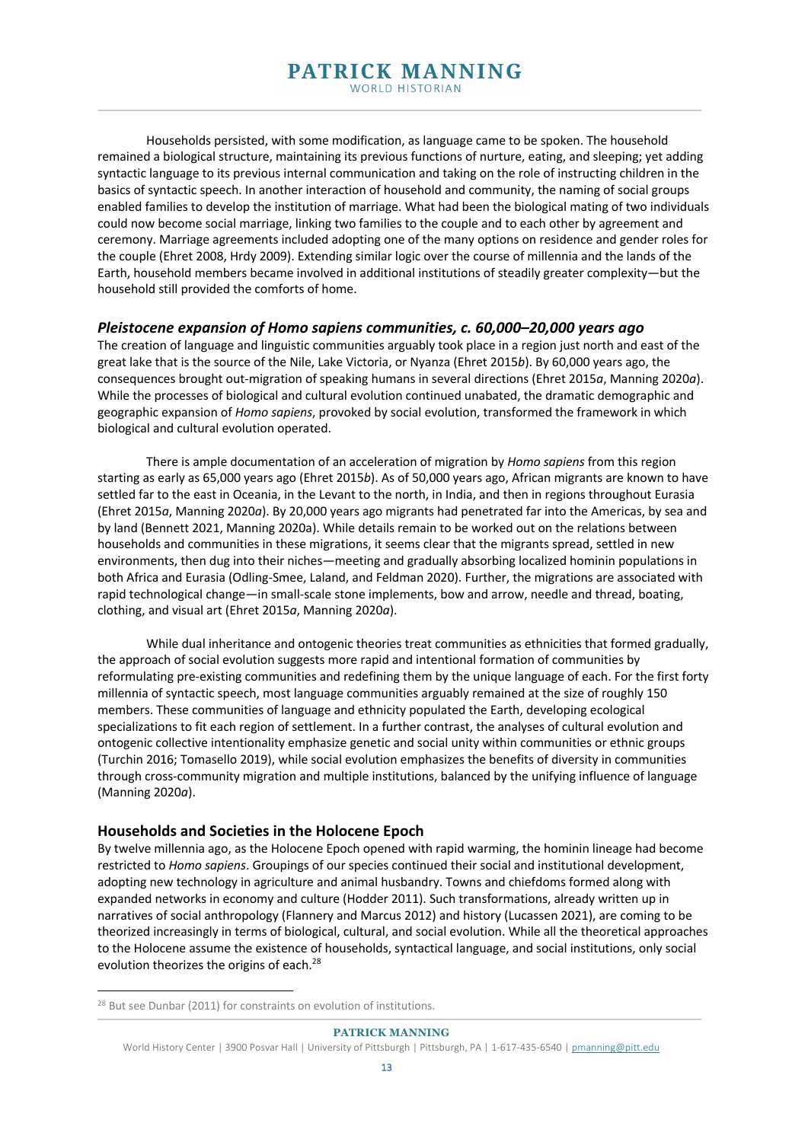Households persisted, with some modification, as language came to be spoken. The household remained a biological structure, maintaining its previous functions of nurture, eating, and sleeping; yet adding syntactic language to its previous internal communication and taking on the role of instructing children in the basics of syntactic speech. In another interaction of household and community, the naming of social groups enabled families to develop the institution of marriage. What had been the biological mating of two individuals could now become social marriage, linking two families to the couple and to each other by agreement and ceremony. Marriage agreements included adopting one of the many options on residence and gender roles for the couple (Ehret 2008, Hrdy 2009). Extending similar logic over the course of millennia and the lands of the Earth, household members became involved in additional institutions of steadily greater complexity—but the household still provided the comforts of home.

#### *Pleistocene expansion of Homo sapiens communities, c. 60,000–20,000 years ago*

The creation of language and linguistic communities arguably took place in a region just north and east of the great lake that is the source of the Nile, Lake Victoria, or Nyanza (Ehret 2015*b*). By 60,000 years ago, the consequences brought out-migration of speaking humans in several directions (Ehret 2015*a*, Manning 2020*a*). While the processes of biological and cultural evolution continued unabated, the dramatic demographic and geographic expansion of *Homo sapiens*, provoked by social evolution, transformed the framework in which biological and cultural evolution operated.

There is ample documentation of an acceleration of migration by *Homo sapiens* from this region starting as early as 65,000 years ago (Ehret 2015*b*). As of 50,000 years ago, African migrants are known to have settled far to the east in Oceania, in the Levant to the north, in India, and then in regions throughout Eurasia (Ehret 2015*a*, Manning 2020*a*). By 20,000 years ago migrants had penetrated far into the Americas, by sea and by land (Bennett 2021, Manning 2020a). While details remain to be worked out on the relations between households and communities in these migrations, it seems clear that the migrants spread, settled in new environments, then dug into their niches—meeting and gradually absorbing localized hominin populations in both Africa and Eurasia (Odling-Smee, Laland, and Feldman 2020). Further, the migrations are associated with rapid technological change—in small-scale stone implements, bow and arrow, needle and thread, boating, clothing, and visual art (Ehret 2015*a*, Manning 2020*a*).

While dual inheritance and ontogenic theories treat communities as ethnicities that formed gradually, the approach of social evolution suggests more rapid and intentional formation of communities by reformulating pre-existing communities and redefining them by the unique language of each. For the first forty millennia of syntactic speech, most language communities arguably remained at the size of roughly 150 members. These communities of language and ethnicity populated the Earth, developing ecological specializations to fit each region of settlement. In a further contrast, the analyses of cultural evolution and ontogenic collective intentionality emphasize genetic and social unity within communities or ethnic groups (Turchin 2016; Tomasello 2019), while social evolution emphasizes the benefits of diversity in communities through cross-community migration and multiple institutions, balanced by the unifying influence of language (Manning 2020*a*).

#### **Households and Societies in the Holocene Epoch**

By twelve millennia ago, as the Holocene Epoch opened with rapid warming, the hominin lineage had become restricted to *Homo sapiens*. Groupings of our species continued their social and institutional development, adopting new technology in agriculture and animal husbandry. Towns and chiefdoms formed along with expanded networks in economy and culture (Hodder 2011). Such transformations, already written up in narratives of social anthropology (Flannery and Marcus 2012) and history (Lucassen 2021), are coming to be theorized increasingly in terms of biological, cultural, and social evolution. While all the theoretical approaches to the Holocene assume the existence of households, syntactical language, and social institutions, only social evolution theorizes the origins of each.<sup>28</sup>

<sup>28</sup> But see Dunbar (2011) for constraints on evolution of institutions.

World History Center | 3900 Posvar Hall | University of Pittsburgh | Pittsburgh, PA | 1-617-435-6540 | pmanning@pitt.edu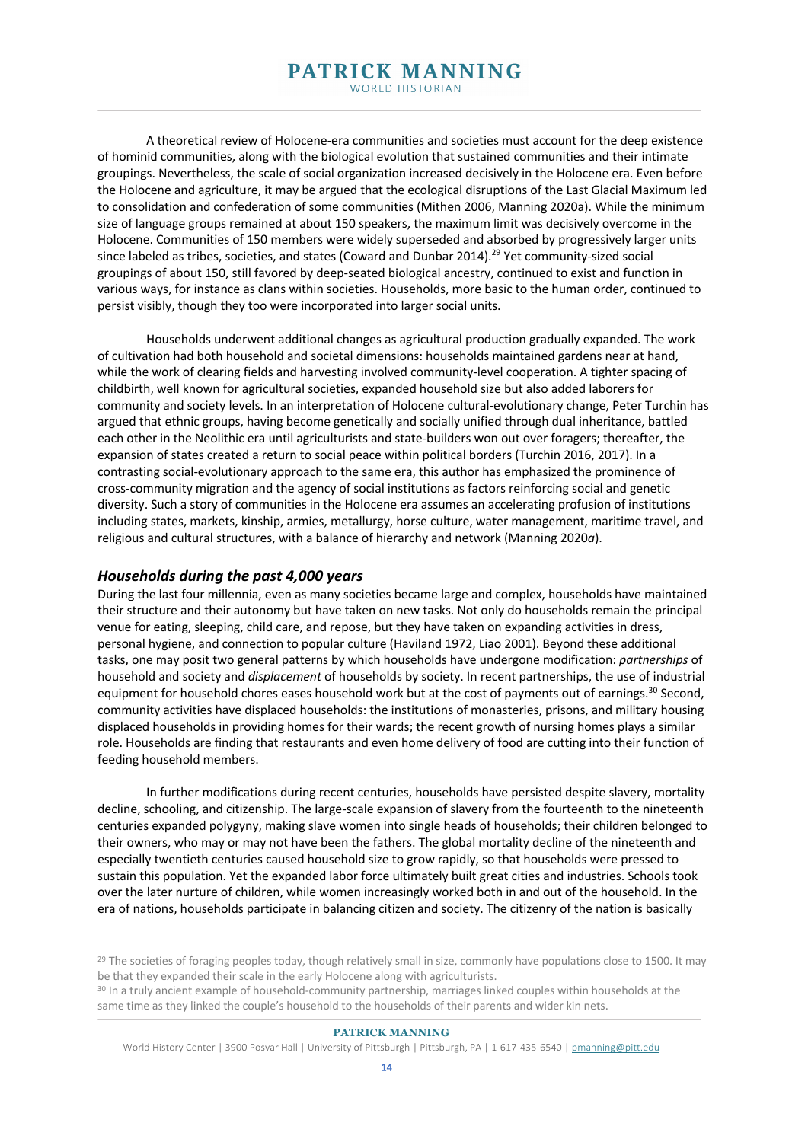A theoretical review of Holocene-era communities and societies must account for the deep existence of hominid communities, along with the biological evolution that sustained communities and their intimate groupings. Nevertheless, the scale of social organization increased decisively in the Holocene era. Even before the Holocene and agriculture, it may be argued that the ecological disruptions of the Last Glacial Maximum led to consolidation and confederation of some communities (Mithen 2006, Manning 2020a). While the minimum size of language groups remained at about 150 speakers, the maximum limit was decisively overcome in the Holocene. Communities of 150 members were widely superseded and absorbed by progressively larger units since labeled as tribes, societies, and states (Coward and Dunbar 2014).<sup>29</sup> Yet community-sized social groupings of about 150, still favored by deep-seated biological ancestry, continued to exist and function in various ways, for instance as clans within societies. Households, more basic to the human order, continued to persist visibly, though they too were incorporated into larger social units.

Households underwent additional changes as agricultural production gradually expanded. The work of cultivation had both household and societal dimensions: households maintained gardens near at hand, while the work of clearing fields and harvesting involved community-level cooperation. A tighter spacing of childbirth, well known for agricultural societies, expanded household size but also added laborers for community and society levels. In an interpretation of Holocene cultural-evolutionary change, Peter Turchin has argued that ethnic groups, having become genetically and socially unified through dual inheritance, battled each other in the Neolithic era until agriculturists and state-builders won out over foragers; thereafter, the expansion of states created a return to social peace within political borders (Turchin 2016, 2017). In a contrasting social-evolutionary approach to the same era, this author has emphasized the prominence of cross-community migration and the agency of social institutions as factors reinforcing social and genetic diversity. Such a story of communities in the Holocene era assumes an accelerating profusion of institutions including states, markets, kinship, armies, metallurgy, horse culture, water management, maritime travel, and religious and cultural structures, with a balance of hierarchy and network (Manning 2020*a*).

## *Households during the past 4,000 years*

During the last four millennia, even as many societies became large and complex, households have maintained their structure and their autonomy but have taken on new tasks. Not only do households remain the principal venue for eating, sleeping, child care, and repose, but they have taken on expanding activities in dress, personal hygiene, and connection to popular culture (Haviland 1972, Liao 2001). Beyond these additional tasks, one may posit two general patterns by which households have undergone modification: *partnerships* of household and society and *displacement* of households by society. In recent partnerships, the use of industrial equipment for household chores eases household work but at the cost of payments out of earnings.<sup>30</sup> Second, community activities have displaced households: the institutions of monasteries, prisons, and military housing displaced households in providing homes for their wards; the recent growth of nursing homes plays a similar role. Households are finding that restaurants and even home delivery of food are cutting into their function of feeding household members.

In further modifications during recent centuries, households have persisted despite slavery, mortality decline, schooling, and citizenship. The large-scale expansion of slavery from the fourteenth to the nineteenth centuries expanded polygyny, making slave women into single heads of households; their children belonged to their owners, who may or may not have been the fathers. The global mortality decline of the nineteenth and especially twentieth centuries caused household size to grow rapidly, so that households were pressed to sustain this population. Yet the expanded labor force ultimately built great cities and industries. Schools took over the later nurture of children, while women increasingly worked both in and out of the household. In the era of nations, households participate in balancing citizen and society. The citizenry of the nation is basically

<sup>&</sup>lt;sup>29</sup> The societies of foraging peoples today, though relatively small in size, commonly have populations close to 1500. It may be that they expanded their scale in the early Holocene along with agriculturists.

<sup>&</sup>lt;sup>30</sup> In a truly ancient example of household-community partnership, marriages linked couples within households at the same time as they linked the couple's household to the households of their parents and wider kin nets.

World History Center | 3900 Posvar Hall | University of Pittsburgh | Pittsburgh, PA | 1-617-435-6540 | pmanning@pitt.edu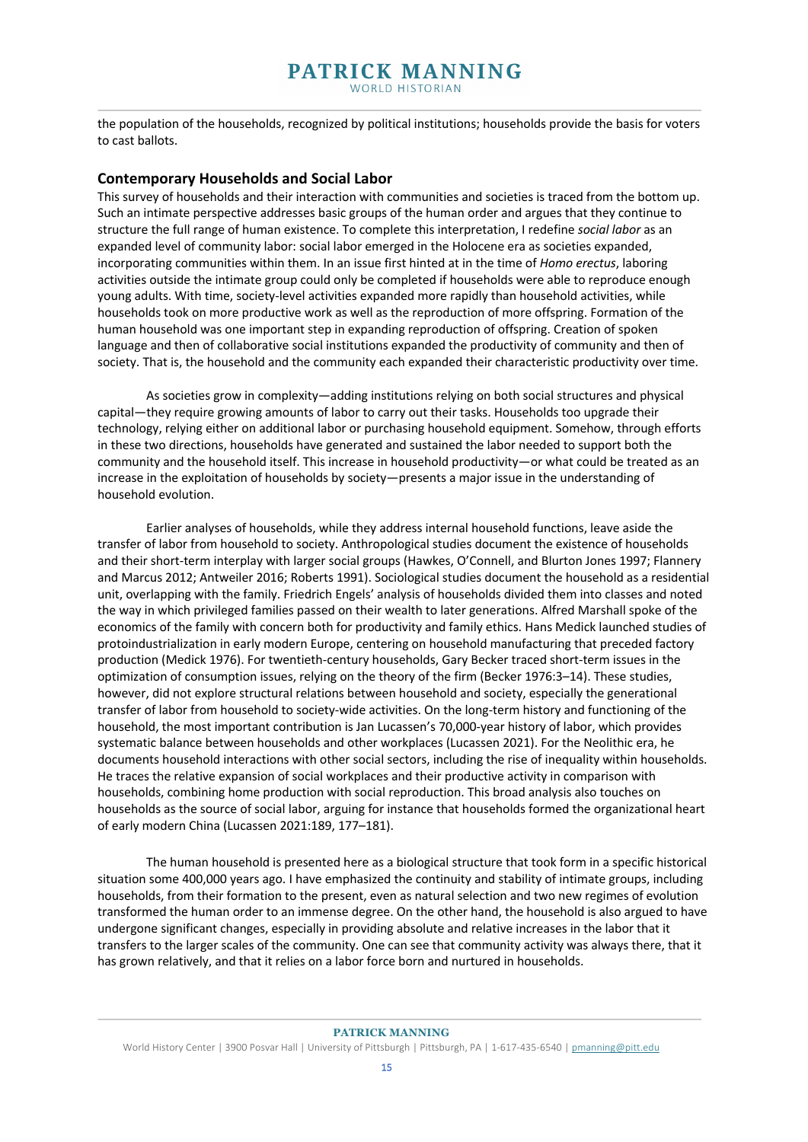the population of the households, recognized by political institutions; households provide the basis for voters to cast ballots.

## **Contemporary Households and Social Labor**

This survey of households and their interaction with communities and societies is traced from the bottom up. Such an intimate perspective addresses basic groups of the human order and argues that they continue to structure the full range of human existence. To complete this interpretation, I redefine *social labor* as an expanded level of community labor: social labor emerged in the Holocene era as societies expanded, incorporating communities within them. In an issue first hinted at in the time of *Homo erectus*, laboring activities outside the intimate group could only be completed if households were able to reproduce enough young adults. With time, society-level activities expanded more rapidly than household activities, while households took on more productive work as well as the reproduction of more offspring. Formation of the human household was one important step in expanding reproduction of offspring. Creation of spoken language and then of collaborative social institutions expanded the productivity of community and then of society. That is, the household and the community each expanded their characteristic productivity over time.

As societies grow in complexity—adding institutions relying on both social structures and physical capital—they require growing amounts of labor to carry out their tasks. Households too upgrade their technology, relying either on additional labor or purchasing household equipment. Somehow, through efforts in these two directions, households have generated and sustained the labor needed to support both the community and the household itself. This increase in household productivity—or what could be treated as an increase in the exploitation of households by society—presents a major issue in the understanding of household evolution.

Earlier analyses of households, while they address internal household functions, leave aside the transfer of labor from household to society. Anthropological studies document the existence of households and their short-term interplay with larger social groups (Hawkes, O'Connell, and Blurton Jones 1997; Flannery and Marcus 2012; Antweiler 2016; Roberts 1991). Sociological studies document the household as a residential unit, overlapping with the family. Friedrich Engels' analysis of households divided them into classes and noted the way in which privileged families passed on their wealth to later generations. Alfred Marshall spoke of the economics of the family with concern both for productivity and family ethics. Hans Medick launched studies of protoindustrialization in early modern Europe, centering on household manufacturing that preceded factory production (Medick 1976). For twentieth-century households, Gary Becker traced short-term issues in the optimization of consumption issues, relying on the theory of the firm (Becker 1976:3–14). These studies, however, did not explore structural relations between household and society, especially the generational transfer of labor from household to society-wide activities. On the long-term history and functioning of the household, the most important contribution is Jan Lucassen's 70,000-year history of labor, which provides systematic balance between households and other workplaces (Lucassen 2021). For the Neolithic era, he documents household interactions with other social sectors, including the rise of inequality within households. He traces the relative expansion of social workplaces and their productive activity in comparison with households, combining home production with social reproduction. This broad analysis also touches on households as the source of social labor, arguing for instance that households formed the organizational heart of early modern China (Lucassen 2021:189, 177–181).

The human household is presented here as a biological structure that took form in a specific historical situation some 400,000 years ago. I have emphasized the continuity and stability of intimate groups, including households, from their formation to the present, even as natural selection and two new regimes of evolution transformed the human order to an immense degree. On the other hand, the household is also argued to have undergone significant changes, especially in providing absolute and relative increases in the labor that it transfers to the larger scales of the community. One can see that community activity was always there, that it has grown relatively, and that it relies on a labor force born and nurtured in households.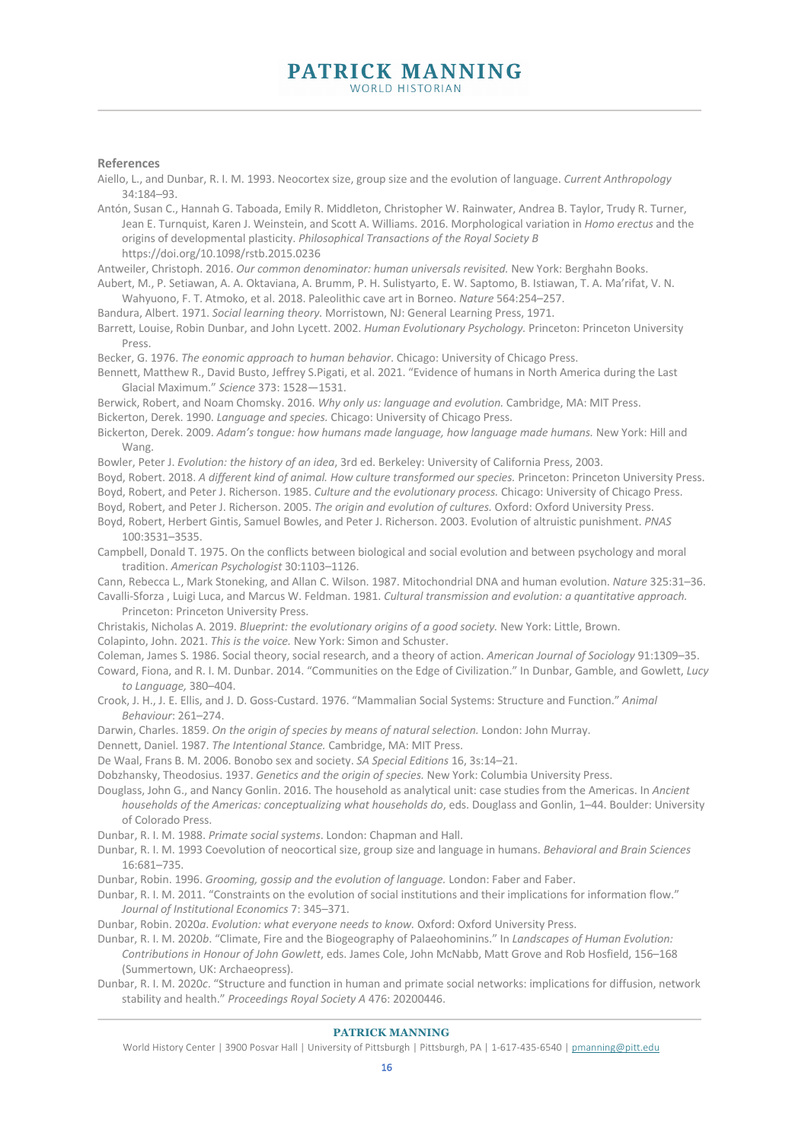#### **References**

Aiello, L., and Dunbar, R. I. M. 1993. Neocortex size, group size and the evolution of language. *Current Anthropology* 34:184–93.

Antón, Susan C., Hannah G. Taboada, Emily R. Middleton, Christopher W. Rainwater, Andrea B. Taylor, Trudy R. Turner, Jean E. Turnquist, Karen J. Weinstein, and Scott A. Williams. 2016. Morphological variation in *Homo erectus* and the origins of developmental plasticity. *Philosophical Transactions of the Royal Society B*  https://doi.org/10.1098/rstb.2015.0236

Antweiler, Christoph. 2016. *Our common denominator: human universals revisited.* New York: Berghahn Books.

Aubert, M., P. Setiawan, A. A. Oktaviana, A. Brumm, P. H. Sulistyarto, E. W. Saptomo, B. Istiawan, T. A. Ma'rifat, V. N. Wahyuono, F. T. Atmoko, et al. 2018. Paleolithic cave art in Borneo. *Nature* 564:254–257.

Bandura, Albert. 1971. *Social learning theory.* Morristown, NJ: General Learning Press, 1971.

Barrett, Louise, Robin Dunbar, and John Lycett. 2002. *Human Evolutionary Psychology.* Princeton: Princeton University Press.

Becker, G. 1976. *The eonomic approach to human behavior*. Chicago: University of Chicago Press.

Bennett, Matthew R., David Busto, Jeffrey S.Pigati, et al. 2021. "Evidence of humans in North America during the Last Glacial Maximum." *Science* 373: 1528—1531.

Berwick, Robert, and Noam Chomsky. 2016. *Why only us: language and evolution.* Cambridge, MA: MIT Press. Bickerton, Derek. 1990. *Language and species.* Chicago: University of Chicago Press.

Bickerton, Derek. 2009. *Adam's tongue: how humans made language, how language made humans.* New York: Hill and Wang.

Bowler, Peter J. *Evolution: the history of an idea*, 3rd ed. Berkeley: University of California Press, 2003.

Boyd, Robert. 2018. *A different kind of animal. How culture transformed our species.* Princeton: Princeton University Press. Boyd, Robert, and Peter J. Richerson. 1985. *Culture and the evolutionary process.* Chicago: University of Chicago Press. Boyd, Robert, and Peter J. Richerson. 2005. *The origin and evolution of cultures.* Oxford: Oxford University Press.

Boyd, Robert, Herbert Gintis, Samuel Bowles, and Peter J. Richerson. 2003. Evolution of altruistic punishment. *PNAS* 100:3531–3535.

Campbell, Donald T. 1975. On the conflicts between biological and social evolution and between psychology and moral tradition. *American Psychologist* 30:1103–1126.

Cann, Rebecca L., Mark Stoneking, and Allan C. Wilson. 1987. Mitochondrial DNA and human evolution. *Nature* 325:31–36. Cavalli-Sforza , Luigi Luca, and Marcus W. Feldman. 1981. *Cultural transmission and evolution: a quantitative approach.* 

Princeton: Princeton University Press.

Christakis, Nicholas A. 2019. *Blueprint: the evolutionary origins of a good society.* New York: Little, Brown.

Colapinto, John. 2021. *This is the voice.* New York: Simon and Schuster.

Coleman, James S. 1986. Social theory, social research, and a theory of action. *American Journal of Sociology* 91:1309–35.

Coward, Fiona, and R. I. M. Dunbar. 2014. "Communities on the Edge of Civilization." In Dunbar, Gamble, and Gowlett, *Lucy to Language,* 380–404.

Crook, J. H., J. E. Ellis, and J. D. Goss-Custard. 1976. "Mammalian Social Systems: Structure and Function." *Animal Behaviour*: 261–274.

Darwin, Charles. 1859. *On the origin of species by means of natural selection.* London: John Murray.

Dennett, Daniel. 1987. *The Intentional Stance.* Cambridge, MA: MIT Press.

De Waal, Frans B. M. 2006. Bonobo sex and society. *SA Special Editions* 16, 3s:14–21.

Dobzhansky, Theodosius. 1937. *Genetics and the origin of species.* New York: Columbia University Press.

Douglass, John G., and Nancy Gonlin. 2016. The household as analytical unit: case studies from the Americas. In *Ancient households of the Americas: conceptualizing what households do*, eds. Douglass and Gonlin, 1–44. Boulder: University of Colorado Press.

Dunbar, R. I. M. 1988. *Primate social systems*. London: Chapman and Hall.

Dunbar, R. I. M. 1993 Coevolution of neocortical size, group size and language in humans. *Behavioral and Brain Sciences* 16:681–735.

Dunbar, Robin. 1996. *Grooming, gossip and the evolution of language.* London: Faber and Faber.

Dunbar, R. I. M. 2011. "Constraints on the evolution of social institutions and their implications for information flow." *Journal of Institutional Economics* 7: 345–371.

Dunbar, Robin. 2020*a*. *Evolution: what everyone needs to know.* Oxford: Oxford University Press.

Dunbar, R. I. M. 2020*b*. "Climate, Fire and the Biogeography of Palaeohominins." In *Landscapes of Human Evolution: Contributions in Honour of John Gowlett*, eds. James Cole, John McNabb, Matt Grove and Rob Hosfield, 156–168 (Summertown, UK: Archaeopress).

Dunbar, R. I. M. 2020*c*. "Structure and function in human and primate social networks: implications for diffusion, network stability and health." *Proceedings Royal Society A* 476: 20200446.

#### **PATRICK MANNING**

World History Center | 3900 Posvar Hall | University of Pittsburgh | Pittsburgh, PA | 1-617-435-6540 | pmanning@pitt.edu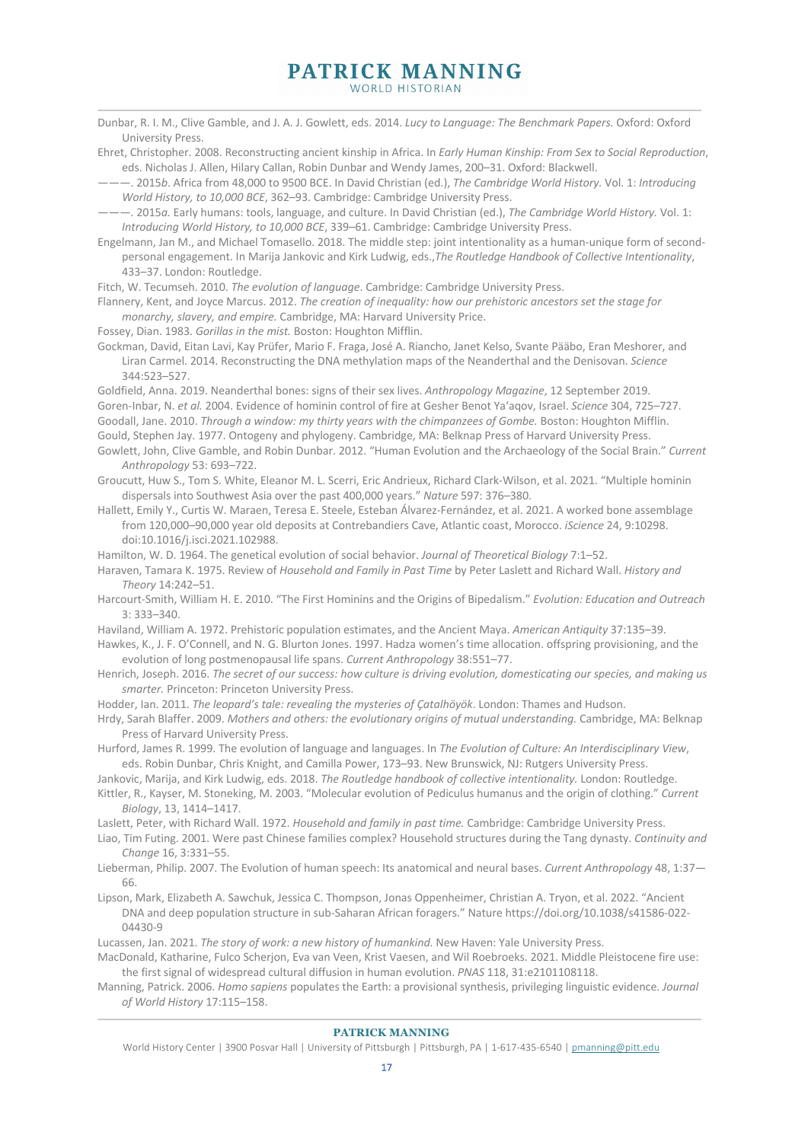# **PATRICK MANNING**

WORLD HISTORIAN

- Dunbar, R. I. M., Clive Gamble, and J. A. J. Gowlett, eds. 2014. *Lucy to Language: The Benchmark Papers.* Oxford: Oxford University Press.
- Ehret, Christopher. 2008. Reconstructing ancient kinship in Africa. In *Early Human Kinship: From Sex to Social Reproduction*, eds. Nicholas J. Allen, Hilary Callan, Robin Dunbar and Wendy James, 200–31. Oxford: Blackwell.

———. 2015*b*. Africa from 48,000 to 9500 BCE. In David Christian (ed.), *The Cambridge World History.* Vol. 1: *Introducing World History, to 10,000 BCE*, 362–93. Cambridge: Cambridge University Press.

———. 2015*a.* Early humans: tools, language, and culture. In David Christian (ed.), *The Cambridge World History.* Vol. 1: *Introducing World History, to 10,000 BCE*, 339–61. Cambridge: Cambridge University Press.

Engelmann, Jan M., and Michael Tomasello. 2018. The middle step: joint intentionality as a human-unique form of secondpersonal engagement. In Marija Jankovic and Kirk Ludwig, eds.,*The Routledge Handbook of Collective Intentionality*, 433–37. London: Routledge.

Fitch, W. Tecumseh. 2010. *The evolution of language*. Cambridge: Cambridge University Press.

Flannery, Kent, and Joyce Marcus. 2012. *The creation of inequality: how our prehistoric ancestors set the stage for monarchy, slavery, and empire.* Cambridge, MA: Harvard University Price.

Fossey, Dian. 1983. *Gorillas in the mist.* Boston: Houghton Mifflin.

Gockman, David, Eitan Lavi, Kay Prüfer, Mario F. Fraga, José A. Riancho, Janet Kelso, Svante Pääbo, Eran Meshorer, and Liran Carmel. 2014. Reconstructing the DNA methylation maps of the Neanderthal and the Denisovan. *Science*  344:523–527.

Goldfield, Anna. 2019. Neanderthal bones: signs of their sex lives. *Anthropology Magazine*, 12 September 2019. Goren-Inbar, N. *et al.* 2004. Evidence of hominin control of fire at Gesher Benot Ya'aqov, Israel. *Science* 304, 725–727. Goodall, Jane. 2010. *Through a window: my thirty years with the chimpanzees of Gombe.* Boston: Houghton Mifflin. Gould, Stephen Jay. 1977. Ontogeny and phylogeny. Cambridge, MA: Belknap Press of Harvard University Press.

Gowlett, John, Clive Gamble, and Robin Dunbar. 2012. "Human Evolution and the Archaeology of the Social Brain." *Current Anthropology* 53: 693–722.

Groucutt, Huw S., Tom S. White, Eleanor M. L. Scerri, Eric Andrieux, Richard Clark-Wilson, et al. 2021. "Multiple hominin dispersals into Southwest Asia over the past 400,000 years." *Nature* 597: 376–380.

Hallett, Emily Y., Curtis W. Maraen, Teresa E. Steele, Esteban Álvarez-Fernández, et al. 2021. A worked bone assemblage from 120,000–90,000 year old deposits at Contrebandiers Cave, Atlantic coast, Morocco. *iScience* 24, 9:10298. doi:10.1016/j.isci.2021.102988.

Hamilton, W. D. 1964. The genetical evolution of social behavior. *Journal of Theoretical Biology* 7:1–52.

Haraven, Tamara K. 1975. Review of *Household and Family in Past Time* by Peter Laslett and Richard Wall. *History and Theory* 14:242–51.

Harcourt-Smith, William H. E. 2010. "The First Hominins and the Origins of Bipedalism." *Evolution: Education and Outreach* 3: 333–340.

Haviland, William A. 1972. Prehistoric population estimates, and the Ancient Maya. *American Antiquity* 37:135–39.

Hawkes, K., J. F. O'Connell, and N. G. Blurton Jones. 1997. Hadza women's time allocation. offspring provisioning, and the evolution of long postmenopausal life spans. *Current Anthropology* 38:551–77.

- Henrich, Joseph. 2016. *The secret of our success: how culture is driving evolution, domesticating our species, and making us smarter.* Princeton: Princeton University Press.
- Hodder, Ian. 2011. *The leopard's tale: revealing the mysteries of Çatalhöyök*. London: Thames and Hudson.
- Hrdy, Sarah Blaffer. 2009. *Mothers and others: the evolutionary origins of mutual understanding.* Cambridge, MA: Belknap Press of Harvard University Press.

Hurford, James R. 1999. The evolution of language and languages. In *The Evolution of Culture: An Interdisciplinary View*, eds. Robin Dunbar, Chris Knight, and Camilla Power, 173–93. New Brunswick, NJ: Rutgers University Press.

Jankovic, Marija, and Kirk Ludwig, eds. 2018. *The Routledge handbook of collective intentionality.* London: Routledge.

Kittler, R., Kayser, M. Stoneking, M. 2003. "Molecular evolution of Pediculus humanus and the origin of clothing." *Current Biology*, 13, 1414–1417.

Laslett, Peter, with Richard Wall. 1972. *Household and family in past time.* Cambridge: Cambridge University Press.

Liao, Tim Futing. 2001. Were past Chinese families complex? Household structures during the Tang dynasty. *Continuity and Change* 16, 3:331–55.

Lieberman, Philip. 2007. The Evolution of human speech: Its anatomical and neural bases. *Current Anthropology* 48, 1:37— 66.

Lipson, Mark, Elizabeth A. Sawchuk, Jessica C. Thompson, Jonas Oppenheimer, Christian A. Tryon, et al. 2022. "Ancient DNA and deep population structure in sub-Saharan African foragers." Nature https://doi.org/10.1038/s41586-022- 04430-9

Lucassen, Jan. 2021. *The story of work: a new history of humankind.* New Haven: Yale University Press.

MacDonald, Katharine, Fulco Scherjon, Eva van Veen, Krist Vaesen, and Wil Roebroeks. 2021. Middle Pleistocene fire use: the first signal of widespread cultural diffusion in human evolution. *PNAS* 118, 31:e2101108118.

Manning, Patrick. 2006. *Homo sapiens* populates the Earth: a provisional synthesis, privileging linguistic evidence. *Journal of World History* 17:115–158.

World History Center | 3900 Posvar Hall | University of Pittsburgh | Pittsburgh, PA | 1-617-435-6540 | pmanning@pitt.edu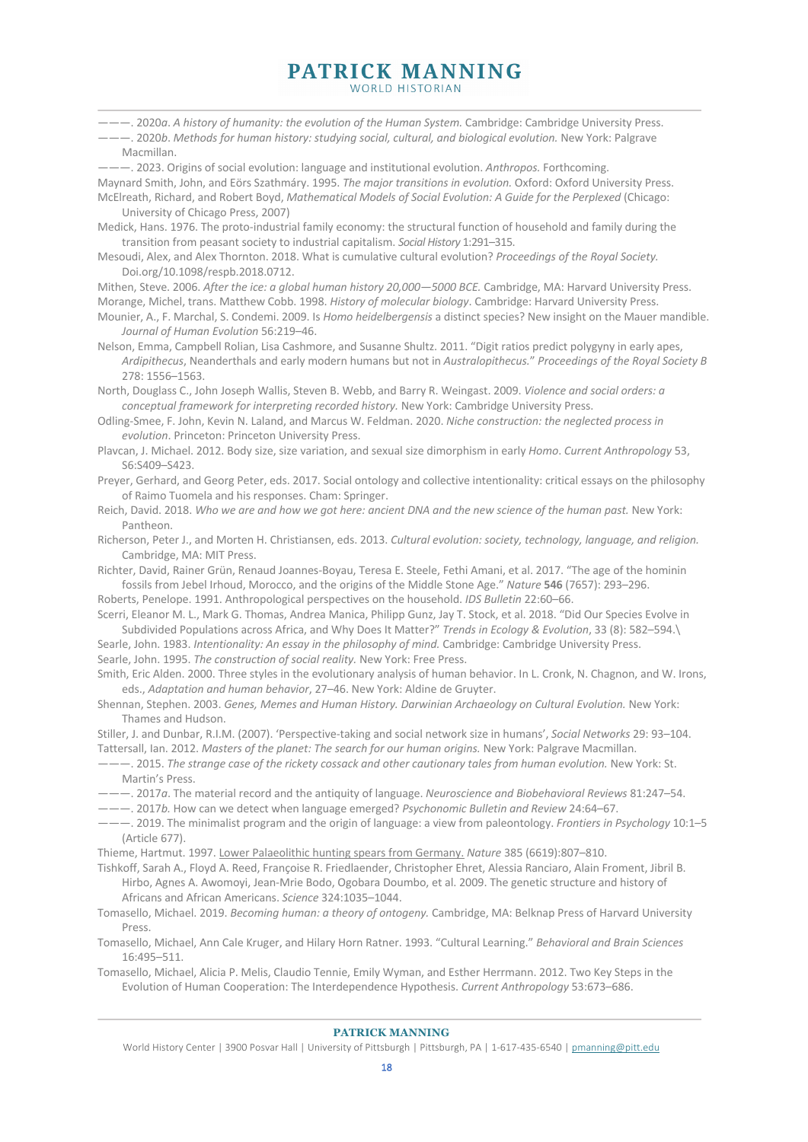———. 2020*a*. *A history of humanity: the evolution of the Human System.* Cambridge: Cambridge University Press.

———. 2020*b*. *Methods for human history: studying social, cultural, and biological evolution.* New York: Palgrave Macmillan.

———. 2023. Origins of social evolution: language and institutional evolution. *Anthropos.* Forthcoming. Maynard Smith, John, and Eörs Szathmáry. 1995. *The major transitions in evolution.* Oxford: Oxford University Press.

McElreath, Richard, and Robert Boyd, *Mathematical Models of Social Evolution: A Guide for the Perplexed* (Chicago: University of Chicago Press, 2007)

Medick, Hans. 1976. The proto-industrial family economy: the structural function of household and family during the transition from peasant society to industrial capitalism. *Social History* 1:291–315.

Mesoudi, Alex, and Alex Thornton. 2018. What is cumulative cultural evolution? *Proceedings of the Royal Society.*  Doi.org/10.1098/respb.2018.0712.

Mithen, Steve. 2006. *After the ice: a global human history 20,000—5000 BCE.* Cambridge, MA: Harvard University Press. Morange, Michel, trans. Matthew Cobb. 1998. *History of molecular biology*. Cambridge: Harvard University Press. Mounier, A., F. Marchal, S. Condemi. 2009. Is *Homo heidelbergensis* a distinct species? New insight on the Mauer mandible.

*Journal of Human Evolution* 56:219–46.

Nelson, Emma, Campbell Rolian, Lisa Cashmore, and Susanne Shultz. 2011. "Digit ratios predict polygyny in early apes, *Ardipithecus*, Neanderthals and early modern humans but not in *Australopithecus.*" *Proceedings of the Royal Society B* 278: 1556–1563.

North, Douglass C., John Joseph Wallis, Steven B. Webb, and Barry R. Weingast. 2009. *Violence and social orders: a conceptual framework for interpreting recorded history.* New York: Cambridge University Press.

Odling-Smee, F. John, Kevin N. Laland, and Marcus W. Feldman. 2020. *Niche construction: the neglected process in evolution*. Princeton: Princeton University Press.

Plavcan, J. Michael. 2012. Body size, size variation, and sexual size dimorphism in early *Homo*. *Current Anthropology* 53, S6:S409–S423.

Preyer, Gerhard, and Georg Peter, eds. 2017. Social ontology and collective intentionality: critical essays on the philosophy of Raimo Tuomela and his responses. Cham: Springer.

Reich, David. 2018. *Who we are and how we got here: ancient DNA and the new science of the human past.* New York: Pantheon.

Richerson, Peter J., and Morten H. Christiansen, eds. 2013. *Cultural evolution: society, technology, language, and religion.*  Cambridge, MA: MIT Press.

Richter, David, Rainer Grün, Renaud Joannes-Boyau, Teresa E. Steele, Fethi Amani, et al. 2017. "The age of the hominin fossils from Jebel Irhoud, Morocco, and the origins of the Middle Stone Age." *Nature* **546** (7657): 293–296.

Roberts, Penelope. 1991. Anthropological perspectives on the household. *IDS Bulletin* 22:60–66.

Scerri, Eleanor M. L., Mark G. Thomas, Andrea Manica, Philipp Gunz, Jay T. Stock, et al. 2018. "Did Our Species Evolve in Subdivided Populations across Africa, and Why Does It Matter?" *Trends in Ecology & Evolution*, 33 (8): 582–594.\ Searle, John. 1983. *Intentionality: An essay in the philosophy of mind.* Cambridge: Cambridge University Press.

Searle, John. 1995. *The construction of social reality.* New York: Free Press.

Smith, Eric Alden. 2000. Three styles in the evolutionary analysis of human behavior. In L. Cronk, N. Chagnon, and W. Irons, eds., *Adaptation and human behavior*, 27–46. New York: Aldine de Gruyter.

Shennan, Stephen. 2003. *Genes, Memes and Human History. Darwinian Archaeology on Cultural Evolution*. New York: Thames and Hudson.

Stiller, J. and Dunbar, R.I.M. (2007). 'Perspective-taking and social network size in humans', *Social Networks* 29: 93–104. Tattersall, Ian. 2012. *Masters of the planet: The search for our human origins.* New York: Palgrave Macmillan.

———. 2015. *The strange case of the rickety cossack and other cautionary tales from human evolution.* New York: St. Martin's Press.

———. 2017*a*. The material record and the antiquity of language. *Neuroscience and Biobehavioral Reviews* 81:247–54.

———. 2017*b.* How can we detect when language emerged? *Psychonomic Bulletin and Review* 24:64–67.

———. 2019. The minimalist program and the origin of language: a view from paleontology. *Frontiers in Psychology* 10:1–5 (Article 677).

Thieme, Hartmut. 1997. Lower Palaeolithic hunting spears from Germany. *Nature* 385 (6619):807–810.

Tishkoff, Sarah A., Floyd A. Reed, Françoise R. Friedlaender, Christopher Ehret, Alessia Ranciaro, Alain Froment, Jibril B. Hirbo, Agnes A. Awomoyi, Jean-Mrie Bodo, Ogobara Doumbo, et al. 2009. The genetic structure and history of Africans and African Americans. *Science* 324:1035–1044.

Tomasello, Michael. 2019. *Becoming human: a theory of ontogeny.* Cambridge, MA: Belknap Press of Harvard University Press.

Tomasello, Michael, Ann Cale Kruger, and Hilary Horn Ratner. 1993. "Cultural Learning." *Behavioral and Brain Sciences* 16:495–511.

Tomasello, Michael, Alicia P. Melis, Claudio Tennie, Emily Wyman, and Esther Herrmann. 2012. Two Key Steps in the Evolution of Human Cooperation: The Interdependence Hypothesis. *Current Anthropology* 53:673–686.

#### **PATRICK MANNING**

World History Center | 3900 Posvar Hall | University of Pittsburgh | Pittsburgh, PA | 1-617-435-6540 | pmanning@pitt.edu